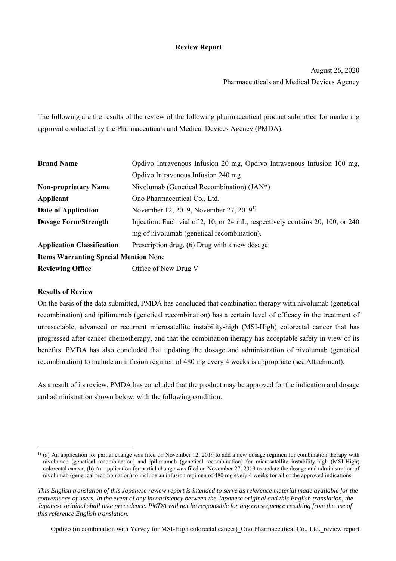### **Review Report**

August 26, 2020 Pharmaceuticals and Medical Devices Agency

The following are the results of the review of the following pharmaceutical product submitted for marketing approval conducted by the Pharmaceuticals and Medical Devices Agency (PMDA).

| <b>Brand Name</b>                            | Opdivo Intravenous Infusion 20 mg, Opdivo Intravenous Infusion 100 mg,         |  |  |  |
|----------------------------------------------|--------------------------------------------------------------------------------|--|--|--|
|                                              | Opdivo Intravenous Infusion 240 mg                                             |  |  |  |
| <b>Non-proprietary Name</b>                  | Nivolumab (Genetical Recombination) (JAN*)                                     |  |  |  |
| Applicant                                    | Ono Pharmaceutical Co., Ltd.                                                   |  |  |  |
| Date of Application                          | November 12, 2019, November 27, 2019 <sup>1)</sup>                             |  |  |  |
| <b>Dosage Form/Strength</b>                  | Injection: Each vial of 2, 10, or 24 mL, respectively contains 20, 100, or 240 |  |  |  |
|                                              | mg of nivolumab (genetical recombination).                                     |  |  |  |
| <b>Application Classification</b>            | Prescription drug, (6) Drug with a new dosage                                  |  |  |  |
| <b>Items Warranting Special Mention None</b> |                                                                                |  |  |  |
| <b>Reviewing Office</b>                      | Office of New Drug V                                                           |  |  |  |

### **Results of Review**

l

On the basis of the data submitted, PMDA has concluded that combination therapy with nivolumab (genetical recombination) and ipilimumab (genetical recombination) has a certain level of efficacy in the treatment of unresectable, advanced or recurrent microsatellite instability-high (MSI-High) colorectal cancer that has progressed after cancer chemotherapy, and that the combination therapy has acceptable safety in view of its benefits. PMDA has also concluded that updating the dosage and administration of nivolumab (genetical recombination) to include an infusion regimen of 480 mg every 4 weeks is appropriate (see Attachment).

As a result of its review, PMDA has concluded that the product may be approved for the indication and dosage and administration shown below, with the following condition.

Opdivo (in combination with Yervoy for MSI-High colorectal cancer)\_Ono Pharmaceutical Co., Ltd.\_review report

<sup>1) (</sup>a) An application for partial change was filed on November 12, 2019 to add a new dosage regimen for combination therapy with nivolumab (genetical recombination) and ipilimumab (genetical recombination) for microsatellite instability-high (MSI-High) colorectal cancer. (b) An application for partial change was filed on November 27, 2019 to update the dosage and administration of nivolumab (genetical recombination) to include an infusion regimen of 480 mg every 4 weeks for all of the approved indications.

*This English translation of this Japanese review report is intended to serve as reference material made available for the convenience of users. In the event of any inconsistency between the Japanese original and this English translation, the Japanese original shall take precedence. PMDA will not be responsible for any consequence resulting from the use of this reference English translation.*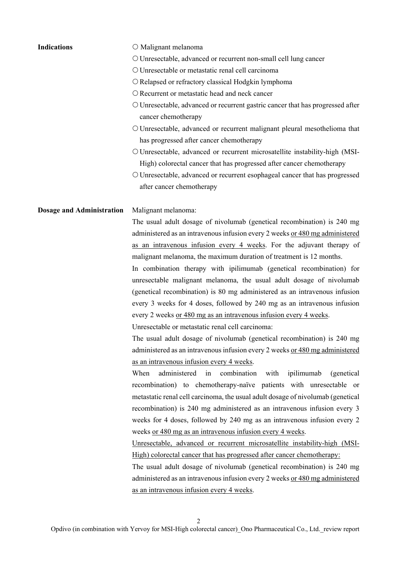| <b>Indications</b>               | O Malignant melanoma                                                                                                  |
|----------------------------------|-----------------------------------------------------------------------------------------------------------------------|
|                                  | O Unresectable, advanced or recurrent non-small cell lung cancer                                                      |
|                                  | O Unresectable or metastatic renal cell carcinoma                                                                     |
|                                  | O Relapsed or refractory classical Hodgkin lymphoma                                                                   |
|                                  | O Recurrent or metastatic head and neck cancer                                                                        |
|                                  | O Unresectable, advanced or recurrent gastric cancer that has progressed after                                        |
|                                  | cancer chemotherapy                                                                                                   |
|                                  | O Unresectable, advanced or recurrent malignant pleural mesothelioma that<br>has progressed after cancer chemotherapy |
|                                  | O Unresectable, advanced or recurrent microsatellite instability-high (MSI-                                           |
|                                  | High) colorectal cancer that has progressed after cancer chemotherapy                                                 |
|                                  | O Unresectable, advanced or recurrent esophageal cancer that has progressed                                           |
|                                  | after cancer chemotherapy                                                                                             |
| <b>Dosage and Administration</b> | Malignant melanoma:                                                                                                   |
|                                  | The usual adult dosage of nivolumab (genetical recombination) is 240 mg                                               |
|                                  | administered as an intravenous infusion every 2 weeks or 480 mg administered                                          |
|                                  | as an intravenous infusion every 4 weeks. For the adjuvant therapy of                                                 |
|                                  | malignant melanoma, the maximum duration of treatment is 12 months.                                                   |
|                                  | In combination therapy with ipilimumab (genetical recombination) for                                                  |
|                                  | unresectable malignant melanoma, the usual adult dosage of nivolumab                                                  |
|                                  | (genetical recombination) is 80 mg administered as an intravenous infusion                                            |
|                                  | every 3 weeks for 4 doses, followed by 240 mg as an intravenous infusion                                              |
|                                  | every 2 weeks or 480 mg as an intravenous infusion every 4 weeks.                                                     |
|                                  | Unresectable or metastatic renal cell carcinoma:                                                                      |
|                                  | The usual adult dosage of nivolumab (genetical recombination) is 240 mg                                               |
|                                  | administered as an intravenous infusion every 2 weeks or 480 mg administered                                          |
|                                  | as an intravenous infusion every 4 weeks.                                                                             |
|                                  | administered in<br>When<br>combination with<br>ipilimumab<br>(genetical)                                              |
|                                  | recombination) to chemotherapy-naïve patients with unresectable or                                                    |
|                                  | metastatic renal cell carcinoma, the usual adult dosage of nivolumab (genetical                                       |
|                                  | recombination) is 240 mg administered as an intravenous infusion every 3                                              |
|                                  | weeks for 4 doses, followed by 240 mg as an intravenous infusion every 2                                              |
|                                  | weeks or 480 mg as an intravenous infusion every 4 weeks.                                                             |
|                                  | Unresectable, advanced or recurrent microsatellite instability-high (MSI-                                             |
|                                  | High) colorectal cancer that has progressed after cancer chemotherapy:                                                |
|                                  | The usual adult dosage of nivolumab (genetical recombination) is 240 mg                                               |
|                                  | administered as an intravenous infusion every 2 weeks or 480 mg administered                                          |
|                                  | as an intravenous infusion every 4 weeks.                                                                             |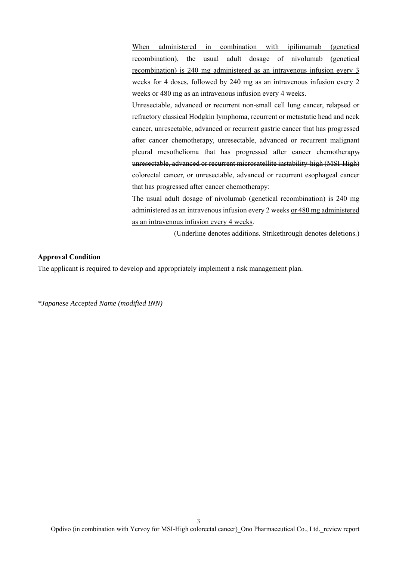When administered in combination with ipilimumab (genetical recombination), the usual adult dosage of nivolumab (genetical recombination) is 240 mg administered as an intravenous infusion every 3 weeks for 4 doses, followed by 240 mg as an intravenous infusion every 2 weeks or 480 mg as an intravenous infusion every 4 weeks.

Unresectable, advanced or recurrent non-small cell lung cancer, relapsed or refractory classical Hodgkin lymphoma, recurrent or metastatic head and neck cancer, unresectable, advanced or recurrent gastric cancer that has progressed after cancer chemotherapy, unresectable, advanced or recurrent malignant pleural mesothelioma that has progressed after cancer chemotherapy, unresectable, advanced or recurrent microsatellite instability-high (MSI-High) colorectal cancer, or unresectable, advanced or recurrent esophageal cancer that has progressed after cancer chemotherapy:

The usual adult dosage of nivolumab (genetical recombination) is 240 mg administered as an intravenous infusion every 2 weeks or 480 mg administered as an intravenous infusion every 4 weeks.

(Underline denotes additions. Strikethrough denotes deletions.)

### **Approval Condition**

The applicant is required to develop and appropriately implement a risk management plan.

*\*Japanese Accepted Name (modified INN)*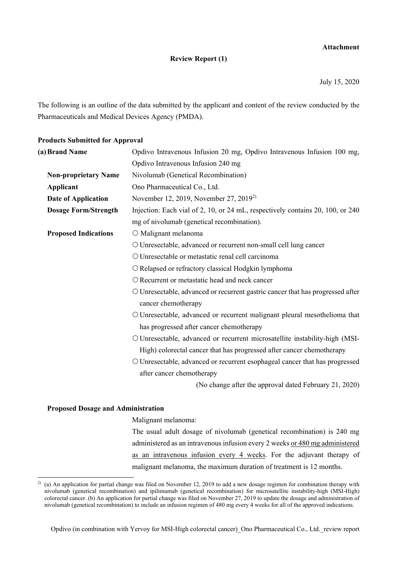### **Attachment**

### **Review Report (1)**

July 15, 2020

The following is an outline of the data submitted by the applicant and content of the review conducted by the Pharmaceuticals and Medical Devices Agency (PMDA).

### **Products Submitted for Approval**

| (a) Brand Name              | Opdivo Intravenous Infusion 20 mg, Opdivo Intravenous Infusion 100 mg,         |
|-----------------------------|--------------------------------------------------------------------------------|
|                             | Opdivo Intravenous Infusion 240 mg                                             |
| <b>Non-proprietary Name</b> | Nivolumab (Genetical Recombination)                                            |
| Applicant                   | Ono Pharmaceutical Co., Ltd.                                                   |
| Date of Application         | November 12, 2019, November 27, 2019 <sup>2)</sup>                             |
| <b>Dosage Form/Strength</b> | Injection: Each vial of 2, 10, or 24 mL, respectively contains 20, 100, or 240 |
|                             | mg of nivolumab (genetical recombination).                                     |
| <b>Proposed Indications</b> | O Malignant melanoma                                                           |
|                             | O Unresectable, advanced or recurrent non-small cell lung cancer               |
|                             | O Unresectable or metastatic renal cell carcinoma                              |
|                             | O Relapsed or refractory classical Hodgkin lymphoma                            |
|                             | O Recurrent or metastatic head and neck cancer                                 |
|                             | O Unresectable, advanced or recurrent gastric cancer that has progressed after |
|                             | cancer chemotherapy                                                            |
|                             | O Unresectable, advanced or recurrent malignant pleural mesothelioma that      |
|                             | has progressed after cancer chemotherapy                                       |
|                             | O Unresectable, advanced or recurrent microsatellite instability-high (MSI-    |
|                             | High) colorectal cancer that has progressed after cancer chemotherapy          |
|                             | O Unresectable, advanced or recurrent esophageal cancer that has progressed    |
|                             | after cancer chemotherapy                                                      |
|                             | (No change after the approval dated February 21, 2020)                         |

### **Proposed Dosage and Administration**

l

Malignant melanoma:

The usual adult dosage of nivolumab (genetical recombination) is 240 mg administered as an intravenous infusion every 2 weeks or 480 mg administered as an intravenous infusion every 4 weeks. For the adjuvant therapy of malignant melanoma, the maximum duration of treatment is 12 months.

<sup>&</sup>lt;sup>2)</sup> (a) An application for partial change was filed on November 12, 2019 to add a new dosage regimen for combination therapy with nivolumab (genetical recombination) and ipilimumab (genetical recombination) for microsatellite instability-high (MSI-High) colorectal cancer. (b) An application for partial change was filed on November 27, 2019 to update the dosage and administration of nivolumab (genetical recombination) to include an infusion regimen of 480 mg every 4 weeks for all of the approved indications.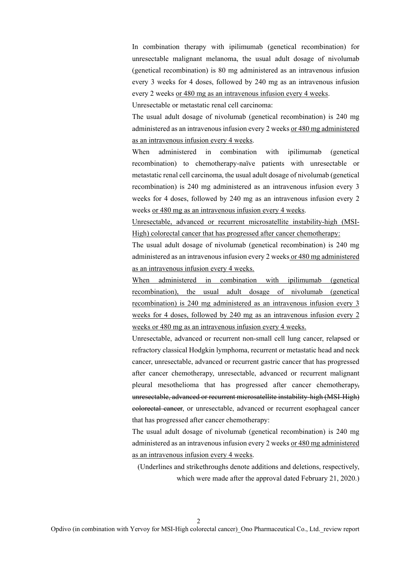In combination therapy with ipilimumab (genetical recombination) for unresectable malignant melanoma, the usual adult dosage of nivolumab (genetical recombination) is 80 mg administered as an intravenous infusion every 3 weeks for 4 doses, followed by 240 mg as an intravenous infusion every 2 weeks or 480 mg as an intravenous infusion every 4 weeks.

Unresectable or metastatic renal cell carcinoma:

The usual adult dosage of nivolumab (genetical recombination) is 240 mg administered as an intravenous infusion every 2 weeks or 480 mg administered as an intravenous infusion every 4 weeks.

When administered in combination with ipilimumab (genetical recombination) to chemotherapy-naïve patients with unresectable or metastatic renal cell carcinoma, the usual adult dosage of nivolumab (genetical recombination) is 240 mg administered as an intravenous infusion every 3 weeks for 4 doses, followed by 240 mg as an intravenous infusion every 2 weeks or 480 mg as an intravenous infusion every 4 weeks.

Unresectable, advanced or recurrent microsatellite instability-high (MSI-High) colorectal cancer that has progressed after cancer chemotherapy:

The usual adult dosage of nivolumab (genetical recombination) is 240 mg administered as an intravenous infusion every 2 weeks or 480 mg administered as an intravenous infusion every 4 weeks.

When administered in combination with ipilimumab (genetical recombination), the usual adult dosage of nivolumab (genetical recombination) is 240 mg administered as an intravenous infusion every 3 weeks for 4 doses, followed by 240 mg as an intravenous infusion every 2 weeks or 480 mg as an intravenous infusion every 4 weeks.

Unresectable, advanced or recurrent non-small cell lung cancer, relapsed or refractory classical Hodgkin lymphoma, recurrent or metastatic head and neck cancer, unresectable, advanced or recurrent gastric cancer that has progressed after cancer chemotherapy, unresectable, advanced or recurrent malignant pleural mesothelioma that has progressed after cancer chemotherapy, unresectable, advanced or recurrent microsatellite instability-high (MSI-High) colorectal cancer, or unresectable, advanced or recurrent esophageal cancer that has progressed after cancer chemotherapy:

The usual adult dosage of nivolumab (genetical recombination) is 240 mg administered as an intravenous infusion every 2 weeks or 480 mg administered as an intravenous infusion every 4 weeks.

(Underlines and strikethroughs denote additions and deletions, respectively, which were made after the approval dated February 21, 2020.)

 $\mathcal{D}$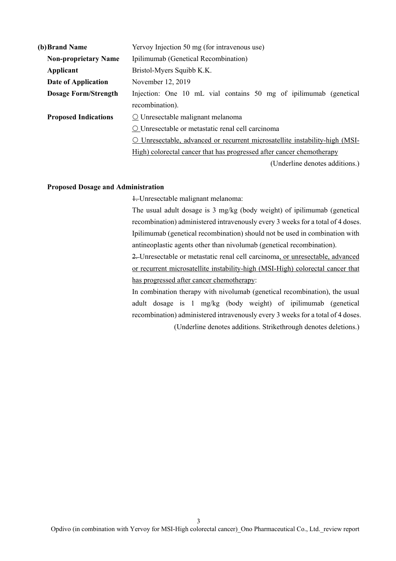| (b) Brand Name              | Yervoy Injection 50 mg (for intravenous use)                                        |  |  |
|-----------------------------|-------------------------------------------------------------------------------------|--|--|
| <b>Non-proprietary Name</b> | Ipilimumab (Genetical Recombination)                                                |  |  |
| Applicant                   | Bristol-Myers Squibb K.K.                                                           |  |  |
| Date of Application         | November 12, 2019                                                                   |  |  |
| <b>Dosage Form/Strength</b> | Injection: One 10 mL vial contains 50 mg of ipilimumab (genetical                   |  |  |
|                             | recombination).                                                                     |  |  |
| <b>Proposed Indications</b> | $\Omega$ Unresectable malignant melanoma                                            |  |  |
|                             | O Unresectable or metastatic renal cell carcinoma                                   |  |  |
|                             | Unresectable, advanced or recurrent microsatellite instability-high (MSI-<br>$\cup$ |  |  |
|                             | High) colorectal cancer that has progressed after cancer chemotherapy               |  |  |
|                             | (Underline denotes additions.)                                                      |  |  |

### **Proposed Dosage and Administration**

1. Unresectable malignant melanoma:

The usual adult dosage is 3 mg/kg (body weight) of ipilimumab (genetical recombination) administered intravenously every 3 weeks for a total of 4 doses. Ipilimumab (genetical recombination) should not be used in combination with antineoplastic agents other than nivolumab (genetical recombination).

2. Unresectable or metastatic renal cell carcinoma, or unresectable, advanced or recurrent microsatellite instability-high (MSI-High) colorectal cancer that has progressed after cancer chemotherapy:

In combination therapy with nivolumab (genetical recombination), the usual adult dosage is 1 mg/kg (body weight) of ipilimumab (genetical recombination) administered intravenously every 3 weeks for a total of 4 doses.

(Underline denotes additions. Strikethrough denotes deletions.)

3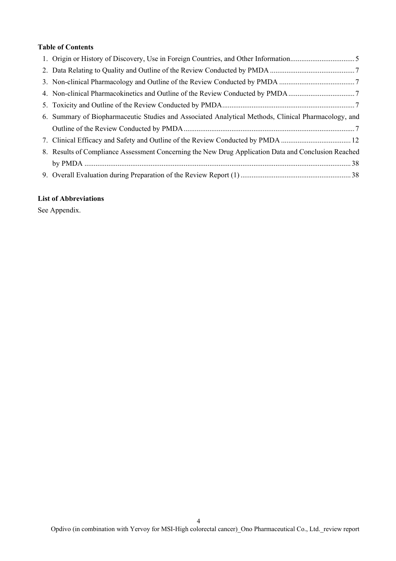### **Table of Contents**

| 6. Summary of Biopharmaceutic Studies and Associated Analytical Methods, Clinical Pharmacology, and |
|-----------------------------------------------------------------------------------------------------|
|                                                                                                     |
| 7. Clinical Efficacy and Safety and Outline of the Review Conducted by PMDA  12                     |
| 8. Results of Compliance Assessment Concerning the New Drug Application Data and Conclusion Reached |
|                                                                                                     |
|                                                                                                     |

## **List of Abbreviations**

See Appendix.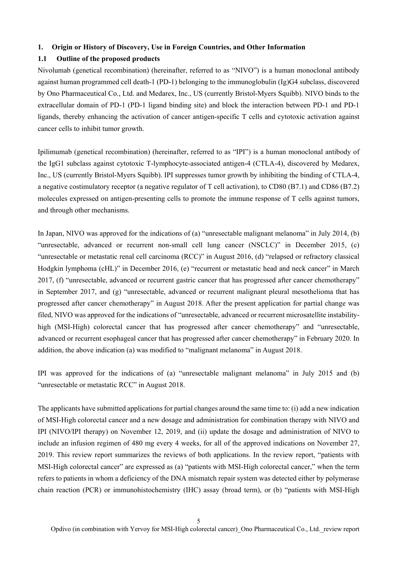### **1. Origin or History of Discovery, Use in Foreign Countries, and Other Information**

### **1.1 Outline of the proposed products**

Nivolumab (genetical recombination) (hereinafter, referred to as "NIVO") is a human monoclonal antibody against human programmed cell death-1 (PD-1) belonging to the immunoglobulin (Ig)G4 subclass, discovered by Ono Pharmaceutical Co., Ltd. and Medarex, Inc., US (currently Bristol-Myers Squibb). NIVO binds to the extracellular domain of PD-1 (PD-1 ligand binding site) and block the interaction between PD-1 and PD-1 ligands, thereby enhancing the activation of cancer antigen-specific T cells and cytotoxic activation against cancer cells to inhibit tumor growth.

Ipilimumab (genetical recombination) (hereinafter, referred to as "IPI") is a human monoclonal antibody of the IgG1 subclass against cytotoxic T-lymphocyte-associated antigen-4 (CTLA-4), discovered by Medarex, Inc., US (currently Bristol-Myers Squibb). IPI suppresses tumor growth by inhibiting the binding of CTLA-4, a negative costimulatory receptor (a negative regulator of T cell activation), to CD80 (B7.1) and CD86 (B7.2) molecules expressed on antigen-presenting cells to promote the immune response of T cells against tumors, and through other mechanisms.

In Japan, NIVO was approved for the indications of (a) "unresectable malignant melanoma" in July 2014, (b) "unresectable, advanced or recurrent non-small cell lung cancer (NSCLC)" in December 2015, (c) "unresectable or metastatic renal cell carcinoma (RCC)" in August 2016, (d) "relapsed or refractory classical Hodgkin lymphoma (cHL)" in December 2016, (e) "recurrent or metastatic head and neck cancer" in March 2017, (f) "unresectable, advanced or recurrent gastric cancer that has progressed after cancer chemotherapy" in September 2017, and (g) "unresectable, advanced or recurrent malignant pleural mesothelioma that has progressed after cancer chemotherapy" in August 2018. After the present application for partial change was filed, NIVO was approved for the indications of "unresectable, advanced or recurrent microsatellite instabilityhigh (MSI-High) colorectal cancer that has progressed after cancer chemotherapy" and "unresectable, advanced or recurrent esophageal cancer that has progressed after cancer chemotherapy" in February 2020. In addition, the above indication (a) was modified to "malignant melanoma" in August 2018.

IPI was approved for the indications of (a) "unresectable malignant melanoma" in July 2015 and (b) "unresectable or metastatic RCC" in August 2018.

The applicants have submitted applications for partial changes around the same time to: (i) add a new indication of MSI-High colorectal cancer and a new dosage and administration for combination therapy with NIVO and IPI (NIVO/IPI therapy) on November 12, 2019, and (ii) update the dosage and administration of NIVO to include an infusion regimen of 480 mg every 4 weeks, for all of the approved indications on November 27, 2019. This review report summarizes the reviews of both applications. In the review report, "patients with MSI-High colorectal cancer" are expressed as (a) "patients with MSI-High colorectal cancer," when the term refers to patients in whom a deficiency of the DNA mismatch repair system was detected either by polymerase chain reaction (PCR) or immunohistochemistry (IHC) assay (broad term), or (b) "patients with MSI-High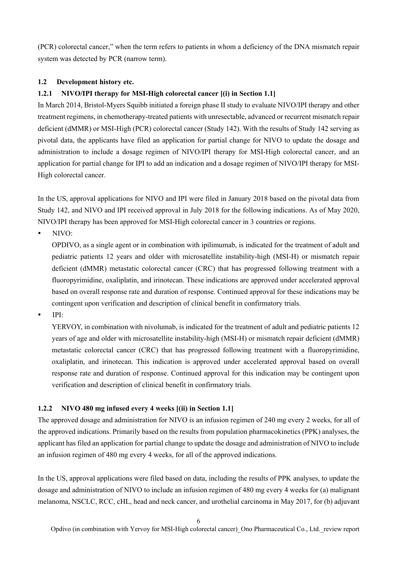(PCR) colorectal cancer," when the term refers to patients in whom a deficiency of the DNA mismatch repair system was detected by PCR (narrow term).

## **1.2 Development history etc.**

## **1.2.1 NIVO/IPI therapy for MSI-High colorectal cancer [(i) in Section 1.1]**

In March 2014, Bristol-Myers Squibb initiated a foreign phase II study to evaluate NIVO/IPI therapy and other treatment regimens, in chemotherapy-treated patients with unresectable, advanced or recurrent mismatch repair deficient (dMMR) or MSI-High (PCR) colorectal cancer (Study 142). With the results of Study 142 serving as pivotal data, the applicants have filed an application for partial change for NIVO to update the dosage and administration to include a dosage regimen of NIVO/IPI therapy for MSI-High colorectal cancer, and an application for partial change for IPI to add an indication and a dosage regimen of NIVO/IPI therapy for MSI-High colorectal cancer.

In the US, approval applications for NIVO and IPI were filed in January 2018 based on the pivotal data from Study 142, and NIVO and IPI received approval in July 2018 for the following indications. As of May 2020, NIVO/IPI therapy has been approved for MSI-High colorectal cancer in 3 countries or regions.

NIVO:

OPDIVO, as a single agent or in combination with ipilimumab, is indicated for the treatment of adult and pediatric patients 12 years and older with microsatellite instability-high (MSI-H) or mismatch repair deficient (dMMR) metastatic colorectal cancer (CRC) that has progressed following treatment with a fluoropyrimidine, oxaliplatin, and irinotecan. These indications are approved under accelerated approval based on overall response rate and duration of response. Continued approval for these indications may be contingent upon verification and description of clinical benefit in confirmatory trials.

IPI:

YERVOY, in combination with nivolumab, is indicated for the treatment of adult and pediatric patients 12 years of age and older with microsatellite instability-high (MSI-H) or mismatch repair deficient (dMMR) metastatic colorectal cancer (CRC) that has progressed following treatment with a fluoropyrimidine, oxaliplatin, and irinotecan. This indication is approved under accelerated approval based on overall response rate and duration of response. Continued approval for this indication may be contingent upon verification and description of clinical benefit in confirmatory trials.

## **1.2.2 NIVO 480 mg infused every 4 weeks [(ii) in Section 1.1]**

The approved dosage and administration for NIVO is an infusion regimen of 240 mg every 2 weeks, for all of the approved indications. Primarily based on the results from population pharmacokinetics (PPK) analyses, the applicant has filed an application for partial change to update the dosage and administration of NIVO to include an infusion regimen of 480 mg every 4 weeks, for all of the approved indications.

In the US, approval applications were filed based on data, including the results of PPK analyses, to update the dosage and administration of NIVO to include an infusion regimen of 480 mg every 4 weeks for (a) malignant melanoma, NSCLC, RCC, cHL, head and neck cancer, and urothelial carcinoma in May 2017, for (b) adjuvant

6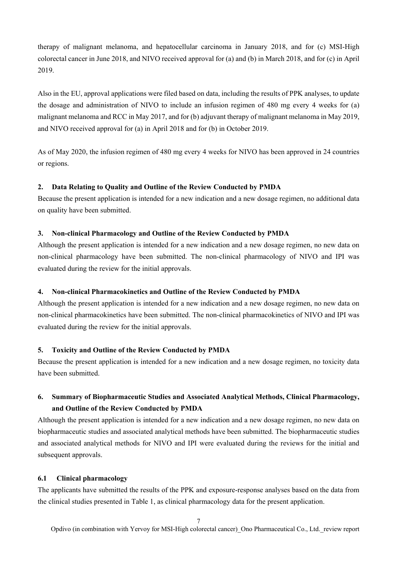therapy of malignant melanoma, and hepatocellular carcinoma in January 2018, and for (c) MSI-High colorectal cancer in June 2018, and NIVO received approval for (a) and (b) in March 2018, and for (c) in April 2019.

Also in the EU, approval applications were filed based on data, including the results of PPK analyses, to update the dosage and administration of NIVO to include an infusion regimen of 480 mg every 4 weeks for (a) malignant melanoma and RCC in May 2017, and for (b) adjuvant therapy of malignant melanoma in May 2019, and NIVO received approval for (a) in April 2018 and for (b) in October 2019.

As of May 2020, the infusion regimen of 480 mg every 4 weeks for NIVO has been approved in 24 countries or regions.

## **2. Data Relating to Quality and Outline of the Review Conducted by PMDA**

Because the present application is intended for a new indication and a new dosage regimen, no additional data on quality have been submitted.

## **3. Non-clinical Pharmacology and Outline of the Review Conducted by PMDA**

Although the present application is intended for a new indication and a new dosage regimen, no new data on non-clinical pharmacology have been submitted. The non-clinical pharmacology of NIVO and IPI was evaluated during the review for the initial approvals.

## **4. Non-clinical Pharmacokinetics and Outline of the Review Conducted by PMDA**

Although the present application is intended for a new indication and a new dosage regimen, no new data on non-clinical pharmacokinetics have been submitted. The non-clinical pharmacokinetics of NIVO and IPI was evaluated during the review for the initial approvals.

### **5. Toxicity and Outline of the Review Conducted by PMDA**

Because the present application is intended for a new indication and a new dosage regimen, no toxicity data have been submitted.

# **6. Summary of Biopharmaceutic Studies and Associated Analytical Methods, Clinical Pharmacology, and Outline of the Review Conducted by PMDA**

Although the present application is intended for a new indication and a new dosage regimen, no new data on biopharmaceutic studies and associated analytical methods have been submitted. The biopharmaceutic studies and associated analytical methods for NIVO and IPI were evaluated during the reviews for the initial and subsequent approvals.

## **6.1 Clinical pharmacology**

The applicants have submitted the results of the PPK and exposure-response analyses based on the data from the clinical studies presented in Table 1, as clinical pharmacology data for the present application.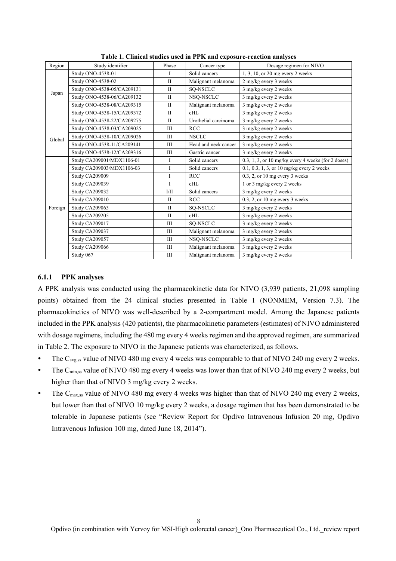| Region  | Study identifier           | Phase        | Cancer type          | Dosage regimen for NIVO                                         |
|---------|----------------------------|--------------|----------------------|-----------------------------------------------------------------|
|         | Study ONO-4538-01          | I            | Solid cancers        | 1, 3, 10, or 20 mg every 2 weeks                                |
|         | Study ONO-4538-02          | $\mathbf{I}$ | Malignant melanoma   | 2 mg/kg every 3 weeks                                           |
|         | Study ONO-4538-05/CA209131 | $\mathbf{I}$ | SO-NSCLC             | 3 mg/kg every 2 weeks                                           |
| Japan   | Study ONO-4538-06/CA209132 | $\mathbf{I}$ | NSQ-NSCLC            | 3 mg/kg every 2 weeks                                           |
|         | Study ONO-4538-08/CA209315 | $\mathbf{I}$ | Malignant melanoma   | 3 mg/kg every 2 weeks                                           |
|         | Study ONO-4538-15/CA209372 | $\mathbf{I}$ | cHL                  | 3 mg/kg every 2 weeks                                           |
|         | Study ONO-4538-22/CA209275 | $\mathbf{I}$ | Urothelial carcinoma | 3 mg/kg every 2 weeks                                           |
|         | Study ONO-4538-03/CA209025 | Ш            | <b>RCC</b>           | 3 mg/kg every 2 weeks                                           |
| Global  | Study ONO-4538-10/CA209026 | Ш            | <b>NSCLC</b>         | 3 mg/kg every 2 weeks                                           |
|         | Study ONO-4538-11/CA209141 | Ш            | Head and neck cancer | 3 mg/kg every 2 weeks                                           |
|         | Study ONO-4538-12/CA209316 | Ш            | Gastric cancer       | 3 mg/kg every 2 weeks                                           |
|         | Study CA209001/MDX1106-01  | I            | Solid cancers        | $0.3, 1, 3$ , or $10 \text{ mg/kg}$ every 4 weeks (for 2 doses) |
|         | Study CA209003/MDX1106-03  | I            | Solid cancers        | 0.1, 0.3, 1, 3, or 10 mg/kg every 2 weeks                       |
|         | Study CA209009             | I            | <b>RCC</b>           | $0.3$ , 2, or 10 mg every 3 weeks                               |
|         | Study CA209039             | $\mathbf{I}$ | cHL                  | 1 or 3 mg/kg every 2 weeks                                      |
|         | Study CA209032             | $V$ II       | Solid cancers        | 3 mg/kg every 2 weeks                                           |
|         | Study CA209010             | $\mathbf{I}$ | <b>RCC</b>           | $0.3$ , 2, or 10 mg every 3 weeks                               |
| Foreign | Study CA209063             | $\mathbf{I}$ | SQ-NSCLC             | 3 mg/kg every 2 weeks                                           |
|         | Study CA209205             | $\mathbf{I}$ | cHL                  | 3 mg/kg every 2 weeks                                           |
|         | Study CA209017             | Ш            | SQ-NSCLC             | 3 mg/kg every 2 weeks                                           |
|         | Study CA209037             | Ш            | Malignant melanoma   | 3 mg/kg every 2 weeks                                           |
|         | Study CA209057             | Ш            | NSQ-NSCLC            | 3 mg/kg every 2 weeks                                           |
|         | Study CA209066             | Ш            | Malignant melanoma   | 3 mg/kg every 2 weeks                                           |
|         | Study 067                  | Ш            | Malignant melanoma   | 3 mg/kg every 2 weeks                                           |

**Table 1. Clinical studies used in PPK and exposure-reaction analyses** 

### **6.1.1 PPK analyses**

A PPK analysis was conducted using the pharmacokinetic data for NIVO (3,939 patients, 21,098 sampling points) obtained from the 24 clinical studies presented in Table 1 (NONMEM, Version 7.3). The pharmacokinetics of NIVO was well-described by a 2-compartment model. Among the Japanese patients included in the PPK analysis (420 patients), the pharmacokinetic parameters (estimates) of NIVO administered with dosage regimens, including the 480 mg every 4 weeks regimen and the approved regimen, are summarized in Table 2. The exposure to NIVO in the Japanese patients was characterized, as follows.

- The  $C_{\text{avg,ss}}$  value of NIVO 480 mg every 4 weeks was comparable to that of NIVO 240 mg every 2 weeks.
- The  $C_{\text{min,ss}}$  value of NIVO 480 mg every 4 weeks was lower than that of NIVO 240 mg every 2 weeks, but higher than that of NIVO 3 mg/kg every 2 weeks.
- The  $C_{\text{max,ss}}$  value of NIVO 480 mg every 4 weeks was higher than that of NIVO 240 mg every 2 weeks, but lower than that of NIVO 10 mg/kg every 2 weeks, a dosage regimen that has been demonstrated to be tolerable in Japanese patients (see "Review Report for Opdivo Intravenous Infusion 20 mg, Opdivo Intravenous Infusion 100 mg, dated June 18, 2014").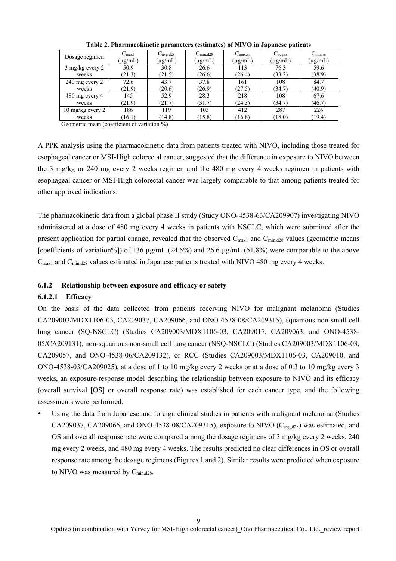| Dosage regimen             | $C_{\text{max1}}$ | $C_{avg,d28}$ | $C_{\text{min,d28}}$ | $C_{\text{max,ss}}$ | $C_{\text{avg,ss}}$ | $C_{\text{min,ss}}$ |
|----------------------------|-------------------|---------------|----------------------|---------------------|---------------------|---------------------|
|                            | $(\mu$ g/mL)      | $(\mu g/mL)$  | $(\mu g/mL)$         | $(\mu g/mL)$        | $(\mu g/mL)$        | (µg/mL)             |
| $3 \text{ mg/kg}$ every 2  | 50.9              | 30.8          | 26.6                 | 113                 | 76.3                | 59.6                |
| weeks                      | (21.3)            | (21.5)        | (26.6)               | (26.4)              | (33.2)              | (38.9)              |
| $240$ mg every $2$         | 72.6              | 43.7          | 37.8                 | 161                 | 108                 | 84.7                |
| weeks                      | (21.9)            | (20.6)        | (26.9)               | (27.5)              | (34.7)              | (40.9)              |
| 480 mg every 4             | 145               | 52.9          | 28.3                 | 218                 | 108                 | 67.6                |
| weeks                      | (21.9)            | (21.7)        | (31.7)               | (24.3)              | (34.7)              | (46.7)              |
| $10 \text{ mg/kg}$ every 2 | 186               | 119           | 103                  | 412                 | 287                 | 226                 |
| weeks                      | (16.1)            | (14.8)        | (15.8)               | (16.8)              | (18.0)              | (19.4)              |

**Table 2. Pharmacokinetic parameters (estimates) of NIVO in Japanese patients** 

Geometric mean (coefficient of variation %)

A PPK analysis using the pharmacokinetic data from patients treated with NIVO, including those treated for esophageal cancer or MSI-High colorectal cancer, suggested that the difference in exposure to NIVO between the 3 mg/kg or 240 mg every 2 weeks regimen and the 480 mg every 4 weeks regimen in patients with esophageal cancer or MSI-High colorectal cancer was largely comparable to that among patients treated for other approved indications.

The pharmacokinetic data from a global phase II study (Study ONO-4538-63/CA209907) investigating NIVO administered at a dose of 480 mg every 4 weeks in patients with NSCLC, which were submitted after the present application for partial change, revealed that the observed  $C_{\text{max1}}$  and  $C_{\text{min,d28}}$  values (geometric means [coefficients of variation%]) of 136 µg/mL (24.5%) and 26.6 µg/mL (51.8%) were comparable to the above  $C_{\text{max1}}$  and  $C_{\text{min,d28}}$  values estimated in Japanese patients treated with NIVO 480 mg every 4 weeks.

## **6.1.2 Relationship between exposure and efficacy or safety**

### **6.1.2.1 Efficacy**

On the basis of the data collected from patients receiving NIVO for malignant melanoma (Studies CA209003/MDX1106-03, CA209037, CA209066, and ONO-4538-08/CA209315), squamous non-small cell lung cancer (SQ-NSCLC) (Studies CA209003/MDX1106-03, CA209017, CA209063, and ONO-4538- 05/CA209131), non-squamous non-small cell lung cancer (NSQ-NSCLC) (Studies CA209003/MDX1106-03, CA209057, and ONO-4538-06/CA209132), or RCC (Studies CA209003/MDX1106-03, CA209010, and ONO-4538-03/CA209025), at a dose of 1 to 10 mg/kg every 2 weeks or at a dose of 0.3 to 10 mg/kg every 3 weeks, an exposure-response model describing the relationship between exposure to NIVO and its efficacy (overall survival [OS] or overall response rate) was established for each cancer type, and the following assessments were performed.

 Using the data from Japanese and foreign clinical studies in patients with malignant melanoma (Studies CA209037, CA209066, and ONO-4538-08/CA209315), exposure to NIVO  $(C_{\text{avg,d28}})$  was estimated, and OS and overall response rate were compared among the dosage regimens of 3 mg/kg every 2 weeks, 240 mg every 2 weeks, and 480 mg every 4 weeks. The results predicted no clear differences in OS or overall response rate among the dosage regimens (Figures 1 and 2). Similar results were predicted when exposure to NIVO was measured by C<sub>min,d28</sub>.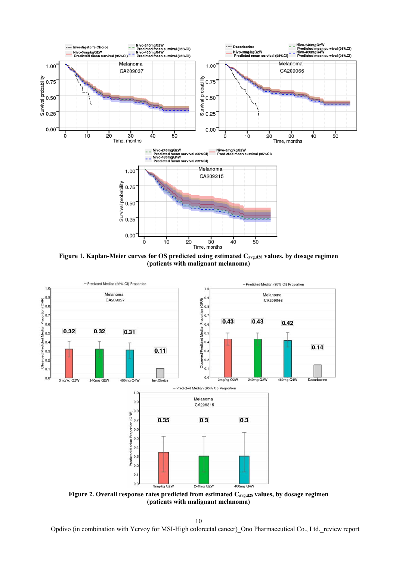

Figure 1. Kaplan-Meier curves for OS predicted using estimated C<sub>avg,d28</sub> values, by dosage regimen **(patients with malignant melanoma)** 



**(patients with malignant melanoma)** 

10

Opdivo (in combination with Yervoy for MSI-High colorectal cancer)\_Ono Pharmaceutical Co., Ltd.\_review report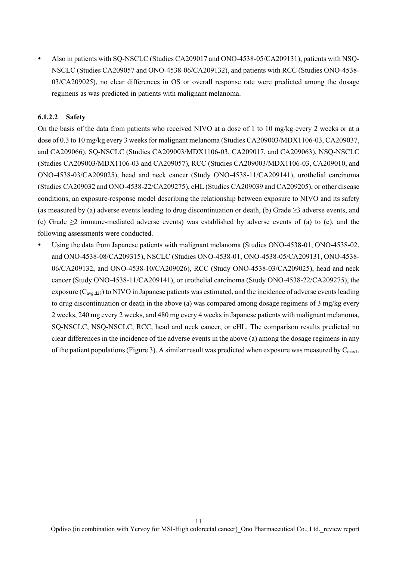Also in patients with SQ-NSCLC (Studies CA209017 and ONO-4538-05/CA209131), patients with NSQ-NSCLC (Studies CA209057 and ONO-4538-06/CA209132), and patients with RCC (Studies ONO-4538- 03/CA209025), no clear differences in OS or overall response rate were predicted among the dosage regimens as was predicted in patients with malignant melanoma.

## **6.1.2.2 Safety**

On the basis of the data from patients who received NIVO at a dose of 1 to 10 mg/kg every 2 weeks or at a dose of 0.3 to 10 mg/kg every 3 weeks for malignant melanoma (Studies CA209003/MDX1106-03, CA209037, and CA209066), SQ-NSCLC (Studies CA209003/MDX1106-03, CA209017, and CA209063), NSQ-NSCLC (Studies CA209003/MDX1106-03 and CA209057), RCC (Studies CA209003/MDX1106-03, CA209010, and ONO-4538-03/CA209025), head and neck cancer (Study ONO-4538-11/CA209141), urothelial carcinoma (Studies CA209032 and ONO-4538-22/CA209275), cHL (Studies CA209039 and CA209205), or other disease conditions, an exposure-response model describing the relationship between exposure to NIVO and its safety (as measured by (a) adverse events leading to drug discontinuation or death, (b) Grade  $\geq$ 3 adverse events, and (c) Grade ≥2 immune-mediated adverse events) was established by adverse events of (a) to (c), and the following assessments were conducted.

 Using the data from Japanese patients with malignant melanoma (Studies ONO-4538-01, ONO-4538-02, and ONO-4538-08/CA209315), NSCLC (Studies ONO-4538-01, ONO-4538-05/CA209131, ONO-4538- 06/CA209132, and ONO-4538-10/CA209026), RCC (Study ONO-4538-03/CA209025), head and neck cancer (Study ONO-4538-11/CA209141), or urothelial carcinoma (Study ONO-4538-22/CA209275), the exposure  $(C_{\text{avg},d28})$  to NIVO in Japanese patients was estimated, and the incidence of adverse events leading to drug discontinuation or death in the above (a) was compared among dosage regimens of 3 mg/kg every 2 weeks, 240 mg every 2 weeks, and 480 mg every 4 weeks in Japanese patients with malignant melanoma, SQ-NSCLC, NSQ-NSCLC, RCC, head and neck cancer, or cHL. The comparison results predicted no clear differences in the incidence of the adverse events in the above (a) among the dosage regimens in any of the patient populations (Figure 3). A similar result was predicted when exposure was measured by  $C_{\text{max1}}$ .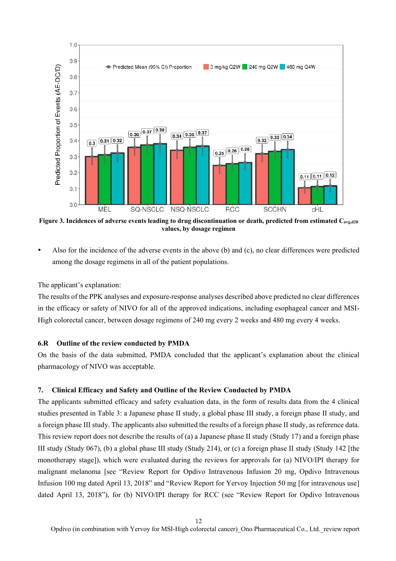

**Figure 3. Incidences of adverse events leading to drug discontinuation or death, predicted from estimated Cavg,d28 values, by dosage regimen** 

 Also for the incidence of the adverse events in the above (b) and (c), no clear differences were predicted among the dosage regimens in all of the patient populations.

The applicant's explanation:

The results of the PPK analyses and exposure-response analyses described above predicted no clear differences in the efficacy or safety of NIVO for all of the approved indications, including esophageal cancer and MSI-High colorectal cancer, between dosage regimens of 240 mg every 2 weeks and 480 mg every 4 weeks.

### **6.R Outline of the review conducted by PMDA**

On the basis of the data submitted, PMDA concluded that the applicant's explanation about the clinical pharmacology of NIVO was acceptable.

### **7. Clinical Efficacy and Safety and Outline of the Review Conducted by PMDA**

The applicants submitted efficacy and safety evaluation data, in the form of results data from the 4 clinical studies presented in Table 3: a Japanese phase II study, a global phase III study, a foreign phase II study, and a foreign phase III study. The applicants also submitted the results of a foreign phase II study, as reference data. This review report does not describe the results of (a) a Japanese phase II study (Study 17) and a foreign phase III study (Study 067), (b) a global phase III study (Study 214), or (c) a foreign phase II study (Study 142 [the monotherapy stage]), which were evaluated during the reviews for approvals for (a) NIVO/IPI therapy for malignant melanoma [see "Review Report for Opdivo Intravenous Infusion 20 mg, Opdivo Intravenous Infusion 100 mg dated April 13, 2018" and "Review Report for Yervoy Injection 50 mg [for intravenous use] dated April 13, 2018"), for (b) NIVO/IPI therapy for RCC (see "Review Report for Opdivo Intravenous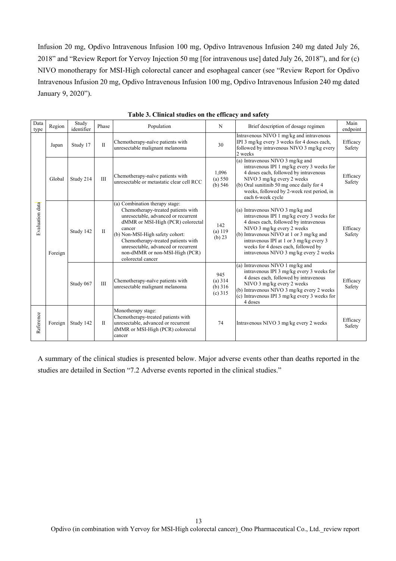Infusion 20 mg, Opdivo Intravenous Infusion 100 mg, Opdivo Intravenous Infusion 240 mg dated July 26, 2018" and "Review Report for Yervoy Injection 50 mg [for intravenous use] dated July 26, 2018"), and for (c) NIVO monotherapy for MSI-High colorectal cancer and esophageal cancer (see "Review Report for Opdivo Intravenous Infusion 20 mg, Opdivo Intravenous Infusion 100 mg, Opdivo Intravenous Infusion 240 mg dated January 9, 2020").

| Data<br>type    | Region  | Study<br>identifier | Phase        | Population                                                                                                                                                                                                                                                                                                                        | N                                      | Brief description of dosage regimen                                                                                                                                                                                                                                                                                          | Main<br>endpoint   |
|-----------------|---------|---------------------|--------------|-----------------------------------------------------------------------------------------------------------------------------------------------------------------------------------------------------------------------------------------------------------------------------------------------------------------------------------|----------------------------------------|------------------------------------------------------------------------------------------------------------------------------------------------------------------------------------------------------------------------------------------------------------------------------------------------------------------------------|--------------------|
|                 | Japan   | Study 17            | $\mathbf{I}$ | Chemotherapy-naïve patients with<br>unresectable malignant melanoma                                                                                                                                                                                                                                                               | 30                                     | Intravenous NIVO 1 mg/kg and intravenous<br>IPI 3 mg/kg every 3 weeks for 4 doses each,<br>followed by intravenous NIVO 3 mg/kg every<br>2 weeks                                                                                                                                                                             | Efficacy<br>Safety |
|                 | Global  | Study 214           | III          | Chemotherapy-naïve patients with<br>unresectable or metastatic clear cell RCC                                                                                                                                                                                                                                                     | 1,096<br>(a) 550<br>(b) $546$          | (a) Intravenous NIVO 3 mg/kg and<br>intravenous IPI 1 mg/kg every 3 weeks for<br>4 doses each, followed by intravenous<br>NIVO 3 mg/kg every 2 weeks<br>(b) Oral sunitinib 50 mg once daily for 4<br>weeks, followed by 2-week rest period, in<br>each 6-week cycle                                                          | Efficacy<br>Safety |
| Evaluation data | Foreign | Study 142           | $\mathbf{I}$ | (a) Combination therapy stage:<br>Chemotherapy-treated patients with<br>unresectable, advanced or recurrent<br>dMMR or MSI-High (PCR) colorectal<br>cancer<br>(b) Non-MSI-High safety cohort:<br>Chemotherapy-treated patients with<br>unresectable, advanced or recurrent<br>non-dMMR or non-MSI-High (PCR)<br>colorectal cancer | 142<br>(a) 119<br>(b) 23               | (a) Intravenous NIVO 3 mg/kg and<br>intravenous IPI 1 mg/kg every 3 weeks for<br>4 doses each, followed by intravenous<br>NIVO 3 mg/kg every 2 weeks<br>(b) Intravenous NIVO at 1 or 3 mg/kg and<br>intravenous IPI at 1 or 3 mg/kg every 3<br>weeks for 4 doses each, followed by<br>intravenous NIVO 3 mg/kg every 2 weeks | Efficacy<br>Safety |
|                 |         | Study 067           | III          | Chemotherapy-naïve patients with<br>unresectable malignant melanoma                                                                                                                                                                                                                                                               | 945<br>(a) 314<br>(b) 316<br>$(c)$ 315 | (a) Intravenous NIVO 1 mg/kg and<br>intravenous IPI 3 mg/kg every 3 weeks for<br>4 doses each, followed by intravenous<br>NIVO 3 mg/kg every 2 weeks<br>(b) Intravenous NIVO 3 mg/kg every 2 weeks<br>(c) Intravenous IPI $3 \text{ mg/kg}$ every $3 \text{ weeks}$ for<br>4 doses                                           | Efficacy<br>Safety |
| Reference       | Foreign | Study 142           | $\mathbf{I}$ | Monotherapy stage:<br>Chemotherapy-treated patients with<br>unresectable, advanced or recurrent<br>dMMR or MSI-High (PCR) colorectal<br>cancer                                                                                                                                                                                    | 74                                     | Intravenous NIVO 3 mg/kg every 2 weeks                                                                                                                                                                                                                                                                                       | Efficacy<br>Safety |

**Table 3. Clinical studies on the efficacy and safety** 

A summary of the clinical studies is presented below. Major adverse events other than deaths reported in the studies are detailed in Section "7.2 Adverse events reported in the clinical studies."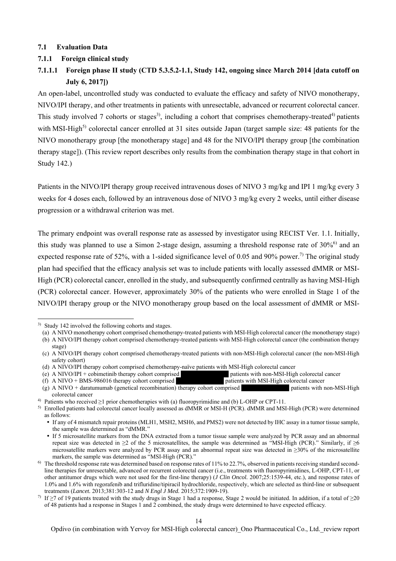### **7.1 Evaluation Data**

### **7.1.1 Foreign clinical study**

# **7.1.1.1 Foreign phase II study (CTD 5.3.5.2-1.1, Study 142, ongoing since March 2014 [data cutoff on July 6, 2017])**

An open-label, uncontrolled study was conducted to evaluate the efficacy and safety of NIVO monotherapy, NIVO/IPI therapy, and other treatments in patients with unresectable, advanced or recurrent colorectal cancer. This study involved 7 cohorts or stages<sup>3)</sup>, including a cohort that comprises chemotherapy-treated<sup>4)</sup> patients with MSI-High<sup>5)</sup> colorectal cancer enrolled at 31 sites outside Japan (target sample size: 48 patients for the NIVO monotherapy group [the monotherapy stage] and 48 for the NIVO/IPI therapy group [the combination therapy stage]). (This review report describes only results from the combination therapy stage in that cohort in Study 142.)

Patients in the NIVO/IPI therapy group received intravenous doses of NIVO 3 mg/kg and IPI 1 mg/kg every 3 weeks for 4 doses each, followed by an intravenous dose of NIVO 3 mg/kg every 2 weeks, until either disease progression or a withdrawal criterion was met.

The primary endpoint was overall response rate as assessed by investigator using RECIST Ver. 1.1. Initially, this study was planned to use a Simon 2-stage design, assuming a threshold response rate of 30%<sup>6)</sup> and an expected response rate of 52%, with a 1-sided significance level of 0.05 and 90% power.<sup>7)</sup> The original study plan had specified that the efficacy analysis set was to include patients with locally assessed dMMR or MSI-High (PCR) colorectal cancer, enrolled in the study, and subsequently confirmed centrally as having MSI-High (PCR) colorectal cancer. However, approximately 30% of the patients who were enrolled in Stage 1 of the NIVO/IPI therapy group or the NIVO monotherapy group based on the local assessment of dMMR or MSI-

l

<sup>3)</sup> Study 142 involved the following cohorts and stages.

<sup>(</sup>a) A NIVO monotherapy cohort comprised chemotherapy-treated patients with MSI-High colorectal cancer (the monotherapy stage) (b) A NIVO/IPI therapy cohort comprised chemotherapy-treated patients with MSI-High colorectal cancer (the combination therapy

stage)

<sup>(</sup>c) A NIVO/IPI therapy cohort comprised chemotherapy-treated patients with non-MSI-High colorectal cancer (the non-MSI-High safety cohort)

<sup>(</sup>d) A NIVO/IPI therapy cohort comprised chemotherapy-naïve patients with MSI-High colorectal cancer

<sup>(</sup>e) A NIVO/IPI + cobimetinib therapy cohort comprised \*\*\*\*\*\*\*\*\* patients with non-MSI-High colorectal cancer

<sup>(</sup>f) A NIVO + BMS-986016 therapy cohort comprised \*\*\*\*\*\*\*\*\*\*\*\*\*\*\*\* patients with MSI-High colorectal cancer

 $(g)$  A NIVO + daratumumab (genetical recombination) therapy cohort comprised **therapy** patients with non-MSI-High colorectal cancer

<sup>4)</sup> Patients who received ≥1 prior chemotherapies with (a) fluoropyrimidine and (b) L-OHP or CPT-11.

<sup>5)</sup> Enrolled patients had colorectal cancer locally assessed as dMMR or MSI-H (PCR). dMMR and MSI-High (PCR) were determined as follows:

If any of 4 mismatch repair proteins (MLH1, MSH2, MSH6, and PMS2) were not detected by IHC assay in a tumor tissue sample, the sample was determined as "dMMR."

If 5 microsatellite markers from the DNA extracted from a tumor tissue sample were analyzed by PCR assay and an abnormal repeat size was detected in  $\geq 2$  of the 5 microsatellites, the sample was determined as "MSI-High (PCR)." Similarly, if  $\geq 6$ microsatellite markers were analyzed by PCR assay and an abnormal repeat size was detected in ≥30% of the microsatellite markers, the sample was determined as "MSI-High (PCR)."

 $6$ ) The threshold response rate was determined based on response rates of 11% to 22.7%, observed in patients receiving standard secondline therapies for unresectable, advanced or recurrent colorectal cancer (i.e., treatments with fluoropyrimidines, L-OHP, CPT-11, or other antitumor drugs which were not used for the first-line therapy) (*J Clin Oncol.* 2007;25:1539-44, etc.), and response rates of 1.0% and 1.6% with regorafenib and trifluridine/tipiracil hydrochloride, respectively, which are selected as third-line or subsequent treatments (*Lancet.* 2013;381:303-12 and *N Engl J Med.* 2015;372:1909-19).

<sup>&</sup>lt;sup>7)</sup> If ≥7 of 19 patients treated with the study drugs in Stage 1 had a response, Stage 2 would be initiated. In addition, if a total of ≥20 of 48 patients had a response in Stages 1 and 2 combined, the study drugs were determined to have expected efficacy.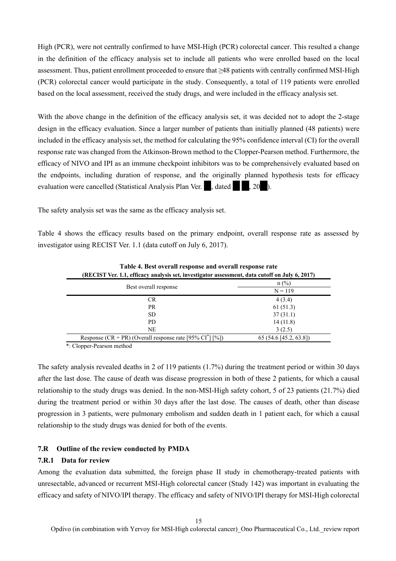High (PCR), were not centrally confirmed to have MSI-High (PCR) colorectal cancer. This resulted a change in the definition of the efficacy analysis set to include all patients who were enrolled based on the local assessment. Thus, patient enrollment proceeded to ensure that ≥48 patients with centrally confirmed MSI-High (PCR) colorectal cancer would participate in the study. Consequently, a total of 119 patients were enrolled based on the local assessment, received the study drugs, and were included in the efficacy analysis set.

With the above change in the definition of the efficacy analysis set, it was decided not to adopt the 2-stage design in the efficacy evaluation. Since a larger number of patients than initially planned (48 patients) were included in the efficacy analysis set, the method for calculating the 95% confidence interval (CI) for the overall response rate was changed from the Atkinson-Brown method to the Clopper-Pearson method. Furthermore, the efficacy of NIVO and IPI as an immune checkpoint inhibitors was to be comprehensively evaluated based on the endpoints, including duration of response, and the originally planned hypothesis tests for efficacy evaluation were cancelled (Statistical Analysis Plan Ver.  $\blacksquare$ , dated  $\blacksquare$ , 20 $\blacksquare$ ).

The safety analysis set was the same as the efficacy analysis set.

Table 4 shows the efficacy results based on the primary endpoint, overall response rate as assessed by investigator using RECIST Ver. 1.1 (data cutoff on July 6, 2017).

| (RECIST Ver. 1.1, efficacy analysis set, investigator assessment, data cutoff on July 6, 2017) |                          |  |  |
|------------------------------------------------------------------------------------------------|--------------------------|--|--|
|                                                                                                | $n$ (%)                  |  |  |
| Best overall response                                                                          | $N = 119$                |  |  |
| <b>CR</b>                                                                                      | 4(3.4)                   |  |  |
| <b>PR</b>                                                                                      | 61(51.3)                 |  |  |
| SD.                                                                                            | 37(31.1)                 |  |  |
| PD.                                                                                            | 14(11.8)                 |  |  |
| <b>NE</b>                                                                                      | 3(2.5)                   |  |  |
| Response (CR + PR) (Overall response rate [95% CI <sup>*</sup> ] [%])                          | $65(54.6 \, 45.2, 63.8)$ |  |  |

**Table 4. Best overall response and overall response rate** 

\*: Clopper-Pearson method

The safety analysis revealed deaths in 2 of 119 patients (1.7%) during the treatment period or within 30 days after the last dose. The cause of death was disease progression in both of these 2 patients, for which a causal relationship to the study drugs was denied. In the non-MSI-High safety cohort, 5 of 23 patients (21.7%) died during the treatment period or within 30 days after the last dose. The causes of death, other than disease progression in 3 patients, were pulmonary embolism and sudden death in 1 patient each, for which a causal relationship to the study drugs was denied for both of the events.

### **7.R Outline of the review conducted by PMDA**

### **7.R.1 Data for review**

Among the evaluation data submitted, the foreign phase II study in chemotherapy-treated patients with unresectable, advanced or recurrent MSI-High colorectal cancer (Study 142) was important in evaluating the efficacy and safety of NIVO/IPI therapy. The efficacy and safety of NIVO/IPI therapy for MSI-High colorectal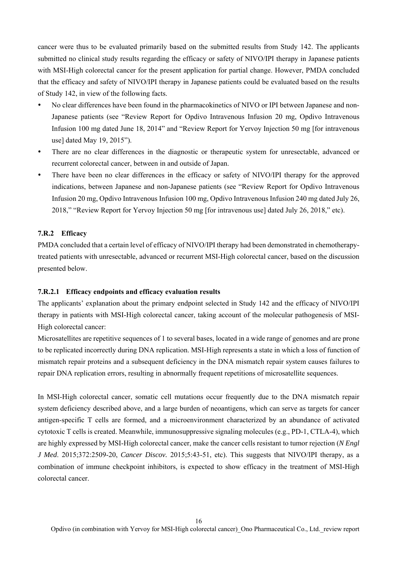cancer were thus to be evaluated primarily based on the submitted results from Study 142. The applicants submitted no clinical study results regarding the efficacy or safety of NIVO/IPI therapy in Japanese patients with MSI-High colorectal cancer for the present application for partial change. However, PMDA concluded that the efficacy and safety of NIVO/IPI therapy in Japanese patients could be evaluated based on the results of Study 142, in view of the following facts.

- No clear differences have been found in the pharmacokinetics of NIVO or IPI between Japanese and non-Japanese patients (see "Review Report for Opdivo Intravenous Infusion 20 mg, Opdivo Intravenous Infusion 100 mg dated June 18, 2014" and "Review Report for Yervoy Injection 50 mg [for intravenous use] dated May 19, 2015").
- There are no clear differences in the diagnostic or therapeutic system for unresectable, advanced or recurrent colorectal cancer, between in and outside of Japan.
- There have been no clear differences in the efficacy or safety of NIVO/IPI therapy for the approved indications, between Japanese and non-Japanese patients (see "Review Report for Opdivo Intravenous Infusion 20 mg, Opdivo Intravenous Infusion 100 mg, Opdivo Intravenous Infusion 240 mg dated July 26, 2018," "Review Report for Yervoy Injection 50 mg [for intravenous use] dated July 26, 2018," etc).

### **7.R.2 Efficacy**

PMDA concluded that a certain level of efficacy of NIVO/IPI therapy had been demonstrated in chemotherapytreated patients with unresectable, advanced or recurrent MSI-High colorectal cancer, based on the discussion presented below.

### **7.R.2.1 Efficacy endpoints and efficacy evaluation results**

The applicants' explanation about the primary endpoint selected in Study 142 and the efficacy of NIVO/IPI therapy in patients with MSI-High colorectal cancer, taking account of the molecular pathogenesis of MSI-High colorectal cancer:

Microsatellites are repetitive sequences of 1 to several bases, located in a wide range of genomes and are prone to be replicated incorrectly during DNA replication. MSI-High represents a state in which a loss of function of mismatch repair proteins and a subsequent deficiency in the DNA mismatch repair system causes failures to repair DNA replication errors, resulting in abnormally frequent repetitions of microsatellite sequences.

In MSI-High colorectal cancer, somatic cell mutations occur frequently due to the DNA mismatch repair system deficiency described above, and a large burden of neoantigens, which can serve as targets for cancer antigen-specific T cells are formed, and a microenvironment characterized by an abundance of activated cytotoxic T cells is created. Meanwhile, immunosuppressive signaling molecules (e.g., PD-1, CTLA-4), which are highly expressed by MSI-High colorectal cancer, make the cancer cells resistant to tumor rejection (*N Engl J Med*. 2015;372:2509-20, *Cancer Discov.* 2015;5:43-51, etc). This suggests that NIVO/IPI therapy, as a combination of immune checkpoint inhibitors, is expected to show efficacy in the treatment of MSI-High colorectal cancer.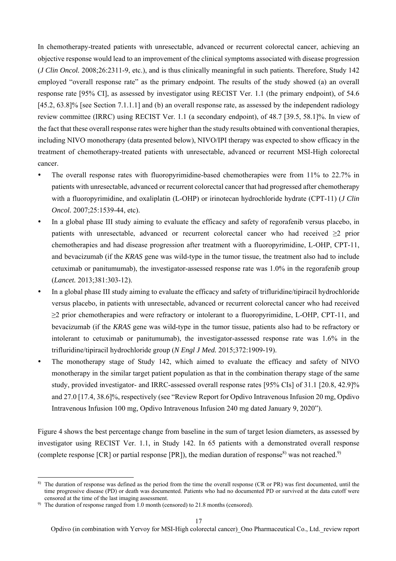In chemotherapy-treated patients with unresectable, advanced or recurrent colorectal cancer, achieving an objective response would lead to an improvement of the clinical symptoms associated with disease progression (*J Clin Oncol.* 2008;26:2311-9, etc.), and is thus clinically meaningful in such patients. Therefore, Study 142 employed "overall response rate" as the primary endpoint. The results of the study showed (a) an overall response rate [95% CI], as assessed by investigator using RECIST Ver. 1.1 (the primary endpoint), of 54.6 [45.2, 63.8]% [see Section 7.1.1.1] and (b) an overall response rate, as assessed by the independent radiology review committee (IRRC) using RECIST Ver. 1.1 (a secondary endpoint), of 48.7 [39.5, 58.1]%. In view of the fact that these overall response rates were higher than the study results obtained with conventional therapies, including NIVO monotherapy (data presented below), NIVO/IPI therapy was expected to show efficacy in the treatment of chemotherapy-treated patients with unresectable, advanced or recurrent MSI-High colorectal cancer.

- The overall response rates with fluoropyrimidine-based chemotherapies were from 11% to 22.7% in patients with unresectable, advanced or recurrent colorectal cancer that had progressed after chemotherapy with a fluoropyrimidine, and oxaliplatin (L-OHP) or irinotecan hydrochloride hydrate (CPT-11) (*J Clin Oncol.* 2007;25:1539-44, etc).
- In a global phase III study aiming to evaluate the efficacy and safety of regorafenib versus placebo, in patients with unresectable, advanced or recurrent colorectal cancer who had received ≥2 prior chemotherapies and had disease progression after treatment with a fluoropyrimidine, L-OHP, CPT-11, and bevacizumab (if the *KRAS* gene was wild-type in the tumor tissue, the treatment also had to include cetuximab or panitumumab), the investigator-assessed response rate was 1.0% in the regorafenib group (*Lancet.* 2013;381:303-12).
- In a global phase III study aiming to evaluate the efficacy and safety of trifluridine/tipiracil hydrochloride versus placebo, in patients with unresectable, advanced or recurrent colorectal cancer who had received ≥2 prior chemotherapies and were refractory or intolerant to a fluoropyrimidine, L-OHP, CPT-11, and bevacizumab (if the *KRAS* gene was wild-type in the tumor tissue, patients also had to be refractory or intolerant to cetuximab or panitumumab), the investigator-assessed response rate was 1.6% in the trifluridine/tipiracil hydrochloride group (*N Engl J Med.* 2015;372:1909-19).
- The monotherapy stage of Study 142, which aimed to evaluate the efficacy and safety of NIVO monotherapy in the similar target patient population as that in the combination therapy stage of the same study, provided investigator- and IRRC-assessed overall response rates [95% CIs] of 31.1 [20.8, 42.9]% and 27.0 [17.4, 38.6]%, respectively (see "Review Report for Opdivo Intravenous Infusion 20 mg, Opdivo Intravenous Infusion 100 mg, Opdivo Intravenous Infusion 240 mg dated January 9, 2020").

Figure 4 shows the best percentage change from baseline in the sum of target lesion diameters, as assessed by investigator using RECIST Ver. 1.1, in Study 142. In 65 patients with a demonstrated overall response (complete response [CR] or partial response [PR]), the median duration of response<sup>8)</sup> was not reached.<sup>9)</sup>

l

<sup>8)</sup> The duration of response was defined as the period from the time the overall response (CR or PR) was first documented, until the time progressive disease (PD) or death was documented. Patients who had no documented PD or survived at the data cutoff were censored at the time of the last imaging assessment.

<sup>&</sup>lt;sup>9)</sup> The duration of response ranged from 1.0 month (censored) to 21.8 months (censored).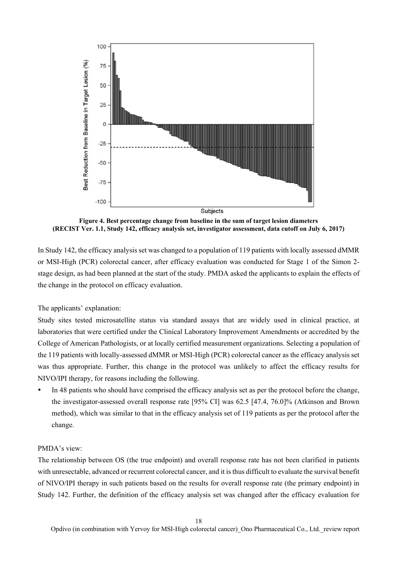

**Figure 4. Best percentage change from baseline in the sum of target lesion diameters (RECIST Ver. 1.1, Study 142, efficacy analysis set, investigator assessment, data cutoff on July 6, 2017)** 

In Study 142, the efficacy analysis set was changed to a population of 119 patients with locally assessed dMMR or MSI-High (PCR) colorectal cancer, after efficacy evaluation was conducted for Stage 1 of the Simon 2 stage design, as had been planned at the start of the study. PMDA asked the applicants to explain the effects of the change in the protocol on efficacy evaluation.

The applicants' explanation:

Study sites tested microsatellite status via standard assays that are widely used in clinical practice, at laboratories that were certified under the Clinical Laboratory Improvement Amendments or accredited by the College of American Pathologists, or at locally certified measurement organizations. Selecting a population of the 119 patients with locally-assessed dMMR or MSI-High (PCR) colorectal cancer as the efficacy analysis set was thus appropriate. Further, this change in the protocol was unlikely to affect the efficacy results for NIVO/IPI therapy, for reasons including the following.

 In 48 patients who should have comprised the efficacy analysis set as per the protocol before the change, the investigator-assessed overall response rate [95% CI] was 62.5 [47.4, 76.0]% (Atkinson and Brown method), which was similar to that in the efficacy analysis set of 119 patients as per the protocol after the change.

## PMDA's view:

The relationship between OS (the true endpoint) and overall response rate has not been clarified in patients with unresectable, advanced or recurrent colorectal cancer, and it is thus difficult to evaluate the survival benefit of NIVO/IPI therapy in such patients based on the results for overall response rate (the primary endpoint) in Study 142. Further, the definition of the efficacy analysis set was changed after the efficacy evaluation for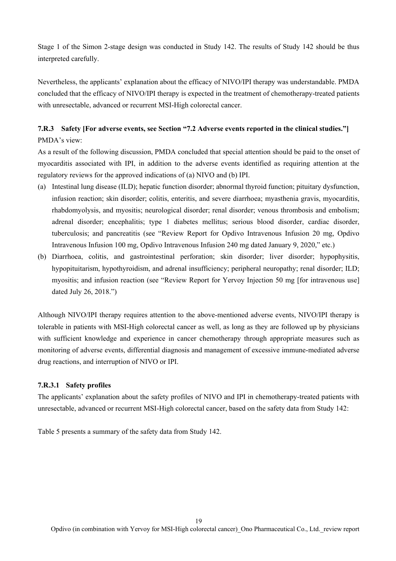Stage 1 of the Simon 2-stage design was conducted in Study 142. The results of Study 142 should be thus interpreted carefully.

Nevertheless, the applicants' explanation about the efficacy of NIVO/IPI therapy was understandable. PMDA concluded that the efficacy of NIVO/IPI therapy is expected in the treatment of chemotherapy-treated patients with unresectable, advanced or recurrent MSI-High colorectal cancer.

# **7.R.3 Safety [For adverse events, see Section "7.2 Adverse events reported in the clinical studies."]**  PMDA's view:

As a result of the following discussion, PMDA concluded that special attention should be paid to the onset of myocarditis associated with IPI, in addition to the adverse events identified as requiring attention at the regulatory reviews for the approved indications of (a) NIVO and (b) IPI.

- (a) Intestinal lung disease (ILD); hepatic function disorder; abnormal thyroid function; pituitary dysfunction, infusion reaction; skin disorder; colitis, enteritis, and severe diarrhoea; myasthenia gravis, myocarditis, rhabdomyolysis, and myositis; neurological disorder; renal disorder; venous thrombosis and embolism; adrenal disorder; encephalitis; type 1 diabetes mellitus; serious blood disorder, cardiac disorder, tuberculosis; and pancreatitis (see "Review Report for Opdivo Intravenous Infusion 20 mg, Opdivo Intravenous Infusion 100 mg, Opdivo Intravenous Infusion 240 mg dated January 9, 2020," etc.)
- (b) Diarrhoea, colitis, and gastrointestinal perforation; skin disorder; liver disorder; hypophysitis, hypopituitarism, hypothyroidism, and adrenal insufficiency; peripheral neuropathy; renal disorder; ILD; myositis; and infusion reaction (see "Review Report for Yervoy Injection 50 mg [for intravenous use] dated July 26, 2018.")

Although NIVO/IPI therapy requires attention to the above-mentioned adverse events, NIVO/IPI therapy is tolerable in patients with MSI-High colorectal cancer as well, as long as they are followed up by physicians with sufficient knowledge and experience in cancer chemotherapy through appropriate measures such as monitoring of adverse events, differential diagnosis and management of excessive immune-mediated adverse drug reactions, and interruption of NIVO or IPI.

### **7.R.3.1 Safety profiles**

The applicants' explanation about the safety profiles of NIVO and IPI in chemotherapy-treated patients with unresectable, advanced or recurrent MSI-High colorectal cancer, based on the safety data from Study 142:

Table 5 presents a summary of the safety data from Study 142.

19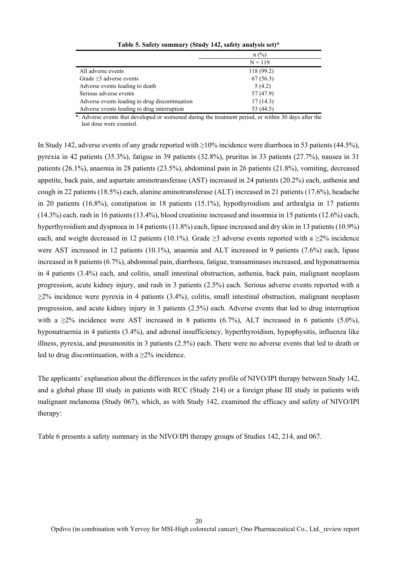|                                                | $n$ (%)    |
|------------------------------------------------|------------|
|                                                | $N = 119$  |
| All adverse events                             | 118 (99.2) |
| Grade $\geq$ 3 adverse events                  | 67(56.3)   |
| Adverse events leading to death                | 5(4.2)     |
| Serious adverse events                         | 57 (47.9)  |
| Adverse events leading to drug discontinuation | 17(14.3)   |
| Adverse events leading to drug interruption    | 53 (44.5)  |

**Table 5. Safety summary (Study 142, safety analysis set)\*** 

\*: Adverse events that developed or worsened during the treatment period, or within 30 days after the last dose were counted.

In Study 142, adverse events of any grade reported with ≥10% incidence were diarrhoea in 53 patients (44.5%), pyrexia in 42 patients (35.3%), fatigue in 39 patients (32.8%), pruritus in 33 patients (27.7%), nausea in 31 patients (26.1%), anaemia in 28 patients (23.5%), abdominal pain in 26 patients (21.8%), vomiting, decreased appetite, back pain, and aspartate aminotransferase (AST) increased in 24 patients (20.2%) each, asthenia and cough in 22 patients (18.5%) each, alanine aminotransferase (ALT) increased in 21 patients (17.6%), headache in 20 patients (16.8%), constipation in 18 patients (15.1%), hypothyroidism and arthralgia in 17 patients (14.3%) each, rash in 16 patients (13.4%), blood creatinine increased and insomnia in 15 patients (12.6%) each, hyperthyroidism and dyspnoea in 14 patients (11.8%) each, lipase increased and dry skin in 13 patients (10.9%) each, and weight decreased in 12 patients (10.1%). Grade  $\geq$ 3 adverse events reported with a  $\geq$ % incidence were AST increased in 12 patients (10.1%), anaemia and ALT increased in 9 patients (7.6%) each, lipase increased in 8 patients (6.7%), abdominal pain, diarrhoea, fatigue, transaminases increased, and hyponatraemia in 4 patients (3.4%) each, and colitis, small intestinal obstruction, asthenia, back pain, malignant neoplasm progression, acute kidney injury, and rash in 3 patients (2.5%) each. Serious adverse events reported with a ≥2% incidence were pyrexia in 4 patients (3.4%), colitis, small intestinal obstruction, malignant neoplasm progression, and acute kidney injury in 3 patients (2.5%) each. Adverse events that led to drug interruption with a  $\geq$ 2% incidence were AST increased in 8 patients (6.7%), ALT increased in 6 patients (5.0%), hyponatraemia in 4 patients (3.4%), and adrenal insufficiency, hyperthyroidism, hypophysitis, influenza like illness, pyrexia, and pneumonitis in 3 patients (2.5%) each. There were no adverse events that led to death or led to drug discontinuation, with a  $>2\%$  incidence.

The applicants' explanation about the differences in the safety profile of NIVO/IPI therapy between Study 142, and a global phase III study in patients with RCC (Study 214) or a foreign phase III study in patients with malignant melanoma (Study 067), which, as with Study 142, examined the efficacy and safety of NIVO/IPI therapy:

Table 6 presents a safety summary in the NIVO/IPI therapy groups of Studies 142, 214, and 067.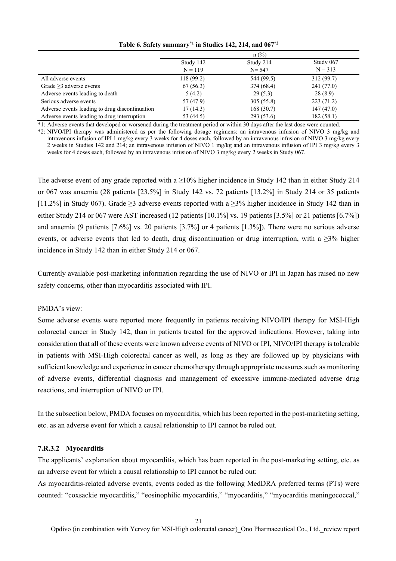|                                                | $n$ (%)    |            |            |
|------------------------------------------------|------------|------------|------------|
|                                                | Study 142  | Study 214  | Study 067  |
|                                                | $N = 119$  | $N = 547$  | $N = 313$  |
| All adverse events                             | 118 (99.2) | 544 (99.5) | 312(99.7)  |
| Grade $\geq$ 3 adverse events                  | 67(56.3)   | 374 (68.4) | 241 (77.0) |
| Adverse events leading to death                | 5(4.2)     | 29(5.3)    | 28(8.9)    |
| Serious adverse events                         | 57 (47.9)  | 305(55.8)  | 223(71.2)  |
| Adverse events leading to drug discontinuation | 17(14.3)   | 168(30.7)  | 147(47.0)  |
| Adverse events leading to drug interruption    | 53 (44.5)  | 293 (53.6) | 182(58.1)  |

**Table 6. Safety summary\*1 in Studies 142, 214, and 067\*2**

\*1: Adverse events that developed or worsened during the treatment period or within 30 days after the last dose were counted.

\*2: NIVO/IPI therapy was administered as per the following dosage regimens: an intravenous infusion of NIVO 3 mg/kg and intravenous infusion of IPI 1 mg/kg every 3 weeks for 4 doses each, followed by an intravenous infusion of NIVO 3 mg/kg every 2 weeks in Studies 142 and 214; an intravenous infusion of NIVO 1 mg/kg and an intravenous infusion of IPI 3 mg/kg every 3 weeks for 4 doses each, followed by an intravenous infusion of NIVO 3 mg/kg every 2 weeks in Study 067.

The adverse event of any grade reported with a  $\geq$ 10% higher incidence in Study 142 than in either Study 214 or 067 was anaemia (28 patients [23.5%] in Study 142 vs. 72 patients [13.2%] in Study 214 or 35 patients [11.2%] in Study 067). Grade ≥3 adverse events reported with a ≥3% higher incidence in Study 142 than in either Study 214 or 067 were AST increased (12 patients [10.1%] vs. 19 patients [3.5%] or 21 patients [6.7%]) and anaemia (9 patients [7.6%] vs. 20 patients [3.7%] or 4 patients [1.3%]). There were no serious adverse events, or adverse events that led to death, drug discontinuation or drug interruption, with a  $\geq$ 3% higher incidence in Study 142 than in either Study 214 or 067.

Currently available post-marketing information regarding the use of NIVO or IPI in Japan has raised no new safety concerns, other than myocarditis associated with IPI.

### PMDA's view:

Some adverse events were reported more frequently in patients receiving NIVO/IPI therapy for MSI-High colorectal cancer in Study 142, than in patients treated for the approved indications. However, taking into consideration that all of these events were known adverse events of NIVO or IPI, NIVO/IPI therapy is tolerable in patients with MSI-High colorectal cancer as well, as long as they are followed up by physicians with sufficient knowledge and experience in cancer chemotherapy through appropriate measures such as monitoring of adverse events, differential diagnosis and management of excessive immune-mediated adverse drug reactions, and interruption of NIVO or IPI.

In the subsection below, PMDA focuses on myocarditis, which has been reported in the post-marketing setting, etc. as an adverse event for which a causal relationship to IPI cannot be ruled out.

### **7.R.3.2 Myocarditis**

The applicants' explanation about myocarditis, which has been reported in the post-marketing setting, etc. as an adverse event for which a causal relationship to IPI cannot be ruled out:

As myocarditis-related adverse events, events coded as the following MedDRA preferred terms (PTs) were counted: "coxsackie myocarditis," "eosinophilic myocarditis," "myocarditis," "myocarditis meningococcal,"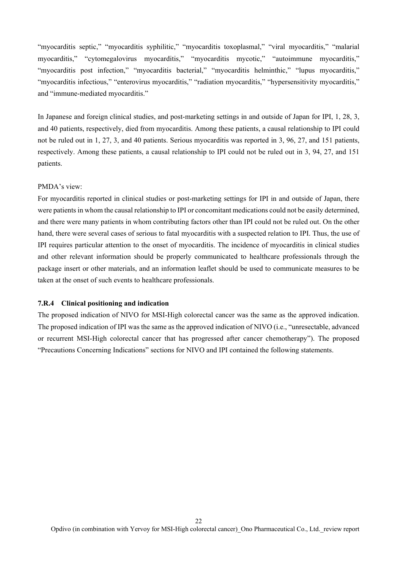"myocarditis septic," "myocarditis syphilitic," "myocarditis toxoplasmal," "viral myocarditis," "malarial myocarditis," "cytomegalovirus myocarditis," "myocarditis mycotic," "autoimmune myocarditis," "myocarditis post infection," "myocarditis bacterial," "myocarditis helminthic," "lupus myocarditis," "myocarditis infectious," "enterovirus myocarditis," "radiation myocarditis," "hypersensitivity myocarditis," and "immune-mediated myocarditis."

In Japanese and foreign clinical studies, and post-marketing settings in and outside of Japan for IPI, 1, 28, 3, and 40 patients, respectively, died from myocarditis. Among these patients, a causal relationship to IPI could not be ruled out in 1, 27, 3, and 40 patients. Serious myocarditis was reported in 3, 96, 27, and 151 patients, respectively. Among these patients, a causal relationship to IPI could not be ruled out in 3, 94, 27, and 151 patients.

### PMDA's view:

For myocarditis reported in clinical studies or post-marketing settings for IPI in and outside of Japan, there were patients in whom the causal relationship to IPI or concomitant medications could not be easily determined, and there were many patients in whom contributing factors other than IPI could not be ruled out. On the other hand, there were several cases of serious to fatal myocarditis with a suspected relation to IPI. Thus, the use of IPI requires particular attention to the onset of myocarditis. The incidence of myocarditis in clinical studies and other relevant information should be properly communicated to healthcare professionals through the package insert or other materials, and an information leaflet should be used to communicate measures to be taken at the onset of such events to healthcare professionals.

### **7.R.4 Clinical positioning and indication**

The proposed indication of NIVO for MSI-High colorectal cancer was the same as the approved indication. The proposed indication of IPI was the same as the approved indication of NIVO (i.e., "unresectable, advanced or recurrent MSI-High colorectal cancer that has progressed after cancer chemotherapy"). The proposed "Precautions Concerning Indications" sections for NIVO and IPI contained the following statements.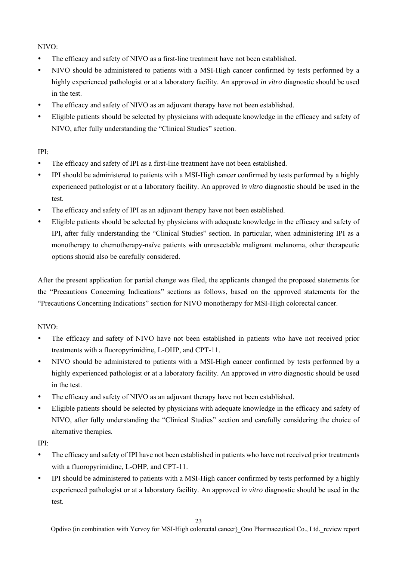NIVO:

- The efficacy and safety of NIVO as a first-line treatment have not been established.
- NIVO should be administered to patients with a MSI-High cancer confirmed by tests performed by a highly experienced pathologist or at a laboratory facility. An approved *in vitro* diagnostic should be used in the test.
- The efficacy and safety of NIVO as an adjuvant therapy have not been established.
- Eligible patients should be selected by physicians with adequate knowledge in the efficacy and safety of NIVO, after fully understanding the "Clinical Studies" section.

## IPI:

- The efficacy and safety of IPI as a first-line treatment have not been established.
- IPI should be administered to patients with a MSI-High cancer confirmed by tests performed by a highly experienced pathologist or at a laboratory facility. An approved *in vitro* diagnostic should be used in the test.
- The efficacy and safety of IPI as an adjuvant therapy have not been established.
- Eligible patients should be selected by physicians with adequate knowledge in the efficacy and safety of IPI, after fully understanding the "Clinical Studies" section. In particular, when administering IPI as a monotherapy to chemotherapy-naïve patients with unresectable malignant melanoma, other therapeutic options should also be carefully considered.

After the present application for partial change was filed, the applicants changed the proposed statements for the "Precautions Concerning Indications" sections as follows, based on the approved statements for the "Precautions Concerning Indications" section for NIVO monotherapy for MSI-High colorectal cancer.

## NIVO:

- The efficacy and safety of NIVO have not been established in patients who have not received prior treatments with a fluoropyrimidine, L-OHP, and CPT-11.
- NIVO should be administered to patients with a MSI-High cancer confirmed by tests performed by a highly experienced pathologist or at a laboratory facility. An approved *in vitro* diagnostic should be used in the test.
- The efficacy and safety of NIVO as an adjuvant therapy have not been established.
- Eligible patients should be selected by physicians with adequate knowledge in the efficacy and safety of NIVO, after fully understanding the "Clinical Studies" section and carefully considering the choice of alternative therapies.
- IPI:
- The efficacy and safety of IPI have not been established in patients who have not received prior treatments with a fluoropyrimidine, L-OHP, and CPT-11.
- IPI should be administered to patients with a MSI-High cancer confirmed by tests performed by a highly experienced pathologist or at a laboratory facility. An approved *in vitro* diagnostic should be used in the test.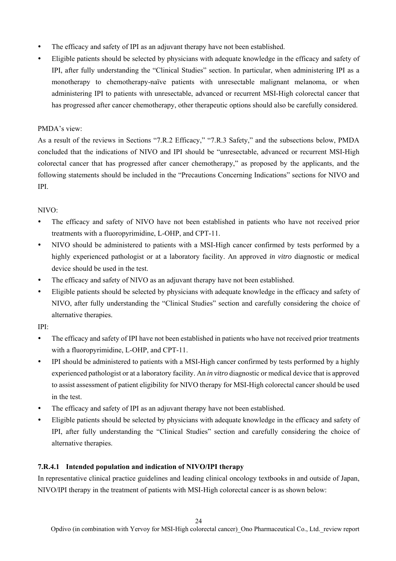- The efficacy and safety of IPI as an adjuvant therapy have not been established.
- Eligible patients should be selected by physicians with adequate knowledge in the efficacy and safety of IPI, after fully understanding the "Clinical Studies" section. In particular, when administering IPI as a monotherapy to chemotherapy-naïve patients with unresectable malignant melanoma, or when administering IPI to patients with unresectable, advanced or recurrent MSI-High colorectal cancer that has progressed after cancer chemotherapy, other therapeutic options should also be carefully considered.

### PMDA's view:

As a result of the reviews in Sections "7.R.2 Efficacy," "7.R.3 Safety," and the subsections below, PMDA concluded that the indications of NIVO and IPI should be "unresectable, advanced or recurrent MSI-High colorectal cancer that has progressed after cancer chemotherapy," as proposed by the applicants, and the following statements should be included in the "Precautions Concerning Indications" sections for NIVO and IPI.

### $NIVO<sup>1</sup>$

- The efficacy and safety of NIVO have not been established in patients who have not received prior treatments with a fluoropyrimidine, L-OHP, and CPT-11.
- NIVO should be administered to patients with a MSI-High cancer confirmed by tests performed by a highly experienced pathologist or at a laboratory facility. An approved *in vitro* diagnostic or medical device should be used in the test.
- The efficacy and safety of NIVO as an adjuvant therapy have not been established.
- Eligible patients should be selected by physicians with adequate knowledge in the efficacy and safety of NIVO, after fully understanding the "Clinical Studies" section and carefully considering the choice of alternative therapies.

IPI:

- The efficacy and safety of IPI have not been established in patients who have not received prior treatments with a fluoropyrimidine, L-OHP, and CPT-11.
- IPI should be administered to patients with a MSI-High cancer confirmed by tests performed by a highly experienced pathologist or at a laboratory facility. An *in vitro* diagnostic or medical device that is approved to assist assessment of patient eligibility for NIVO therapy for MSI-High colorectal cancer should be used in the test.
- The efficacy and safety of IPI as an adjuvant therapy have not been established.
- Eligible patients should be selected by physicians with adequate knowledge in the efficacy and safety of IPI, after fully understanding the "Clinical Studies" section and carefully considering the choice of alternative therapies.

## **7.R.4.1 Intended population and indication of NIVO/IPI therapy**

In representative clinical practice guidelines and leading clinical oncology textbooks in and outside of Japan, NIVO/IPI therapy in the treatment of patients with MSI-High colorectal cancer is as shown below: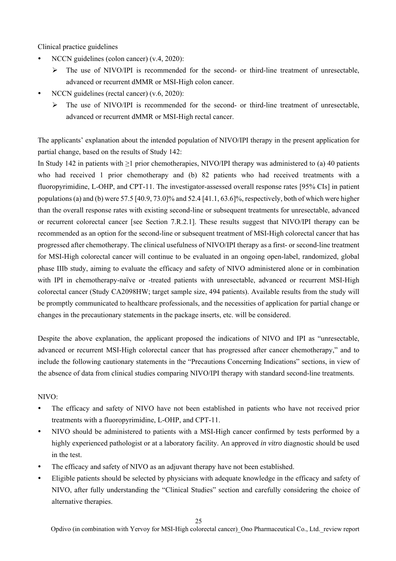Clinical practice guidelines

- NCCN guidelines (colon cancer) (v.4, 2020):
	- $\triangleright$  The use of NIVO/IPI is recommended for the second- or third-line treatment of unresectable, advanced or recurrent dMMR or MSI-High colon cancer.
- NCCN guidelines (rectal cancer) (v.6, 2020):
	- $\triangleright$  The use of NIVO/IPI is recommended for the second- or third-line treatment of unresectable, advanced or recurrent dMMR or MSI-High rectal cancer.

The applicants' explanation about the intended population of NIVO/IPI therapy in the present application for partial change, based on the results of Study 142:

In Study 142 in patients with ≥1 prior chemotherapies, NIVO/IPI therapy was administered to (a) 40 patients who had received 1 prior chemotherapy and (b) 82 patients who had received treatments with a fluoropyrimidine, L-OHP, and CPT-11. The investigator-assessed overall response rates [95% CIs] in patient populations (a) and (b) were  $57.5$  [40.9, 73.0]% and  $52.4$  [41.1, 63.6]%, respectively, both of which were higher than the overall response rates with existing second-line or subsequent treatments for unresectable, advanced or recurrent colorectal cancer [see Section 7.R.2.1]. These results suggest that NIVO/IPI therapy can be recommended as an option for the second-line or subsequent treatment of MSI-High colorectal cancer that has progressed after chemotherapy. The clinical usefulness of NIVO/IPI therapy as a first- or second-line treatment for MSI-High colorectal cancer will continue to be evaluated in an ongoing open-label, randomized, global phase IIIb study, aiming to evaluate the efficacy and safety of NIVO administered alone or in combination with IPI in chemotherapy-naïve or -treated patients with unresectable, advanced or recurrent MSI-High colorectal cancer (Study CA2098HW; target sample size, 494 patients). Available results from the study will be promptly communicated to healthcare professionals, and the necessities of application for partial change or changes in the precautionary statements in the package inserts, etc. will be considered.

Despite the above explanation, the applicant proposed the indications of NIVO and IPI as "unresectable, advanced or recurrent MSI-High colorectal cancer that has progressed after cancer chemotherapy," and to include the following cautionary statements in the "Precautions Concerning Indications" sections, in view of the absence of data from clinical studies comparing NIVO/IPI therapy with standard second-line treatments.

### NIVO:

- The efficacy and safety of NIVO have not been established in patients who have not received prior treatments with a fluoropyrimidine, L-OHP, and CPT-11.
- NIVO should be administered to patients with a MSI-High cancer confirmed by tests performed by a highly experienced pathologist or at a laboratory facility. An approved *in vitro* diagnostic should be used in the test.
- The efficacy and safety of NIVO as an adjuvant therapy have not been established.
- Eligible patients should be selected by physicians with adequate knowledge in the efficacy and safety of NIVO, after fully understanding the "Clinical Studies" section and carefully considering the choice of alternative therapies.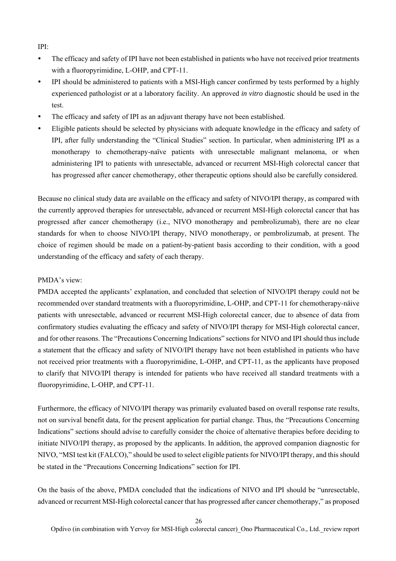IPI:

- The efficacy and safety of IPI have not been established in patients who have not received prior treatments with a fluoropyrimidine, L-OHP, and CPT-11.
- IPI should be administered to patients with a MSI-High cancer confirmed by tests performed by a highly experienced pathologist or at a laboratory facility. An approved *in vitro* diagnostic should be used in the test.
- The efficacy and safety of IPI as an adjuvant therapy have not been established.
- Eligible patients should be selected by physicians with adequate knowledge in the efficacy and safety of IPI, after fully understanding the "Clinical Studies" section. In particular, when administering IPI as a monotherapy to chemotherapy-naïve patients with unresectable malignant melanoma, or when administering IPI to patients with unresectable, advanced or recurrent MSI-High colorectal cancer that has progressed after cancer chemotherapy, other therapeutic options should also be carefully considered.

Because no clinical study data are available on the efficacy and safety of NIVO/IPI therapy, as compared with the currently approved therapies for unresectable, advanced or recurrent MSI-High colorectal cancer that has progressed after cancer chemotherapy (i.e., NIVO monotherapy and pembrolizumab), there are no clear standards for when to choose NIVO/IPI therapy, NIVO monotherapy, or pembrolizumab, at present. The choice of regimen should be made on a patient-by-patient basis according to their condition, with a good understanding of the efficacy and safety of each therapy.

### PMDA's view:

PMDA accepted the applicants' explanation, and concluded that selection of NIVO/IPI therapy could not be recommended over standard treatments with a fluoropyrimidine, L-OHP, and CPT-11 for chemotherapy-näive patients with unresectable, advanced or recurrent MSI-High colorectal cancer, due to absence of data from confirmatory studies evaluating the efficacy and safety of NIVO/IPI therapy for MSI-High colorectal cancer, and for other reasons. The "Precautions Concerning Indications" sections for NIVO and IPI should thus include a statement that the efficacy and safety of NIVO/IPI therapy have not been established in patients who have not received prior treatments with a fluoropyrimidine, L-OHP, and CPT-11, as the applicants have proposed to clarify that NIVO/IPI therapy is intended for patients who have received all standard treatments with a fluoropyrimidine, L-OHP, and CPT-11.

Furthermore, the efficacy of NIVO/IPI therapy was primarily evaluated based on overall response rate results, not on survival benefit data, for the present application for partial change. Thus, the "Precautions Concerning Indications" sections should advise to carefully consider the choice of alternative therapies before deciding to initiate NIVO/IPI therapy, as proposed by the applicants. In addition, the approved companion diagnostic for NIVO, "MSI test kit (FALCO)," should be used to select eligible patients for NIVO/IPI therapy, and this should be stated in the "Precautions Concerning Indications" section for IPI.

On the basis of the above, PMDA concluded that the indications of NIVO and IPI should be "unresectable, advanced or recurrent MSI-High colorectal cancer that has progressed after cancer chemotherapy," as proposed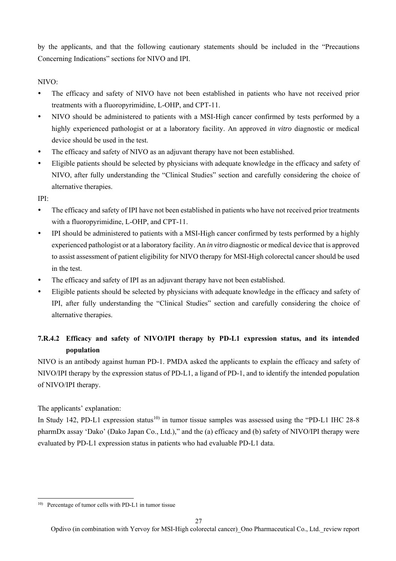by the applicants, and that the following cautionary statements should be included in the "Precautions Concerning Indications" sections for NIVO and IPI.

NIVO:

- The efficacy and safety of NIVO have not been established in patients who have not received prior treatments with a fluoropyrimidine, L-OHP, and CPT-11.
- NIVO should be administered to patients with a MSI-High cancer confirmed by tests performed by a highly experienced pathologist or at a laboratory facility. An approved *in vitro* diagnostic or medical device should be used in the test.
- The efficacy and safety of NIVO as an adjuvant therapy have not been established.
- Eligible patients should be selected by physicians with adequate knowledge in the efficacy and safety of NIVO, after fully understanding the "Clinical Studies" section and carefully considering the choice of alternative therapies.

IPI:

- The efficacy and safety of IPI have not been established in patients who have not received prior treatments with a fluoropyrimidine, L-OHP, and CPT-11.
- IPI should be administered to patients with a MSI-High cancer confirmed by tests performed by a highly experienced pathologist or at a laboratory facility. An *in vitro* diagnostic or medical device that is approved to assist assessment of patient eligibility for NIVO therapy for MSI-High colorectal cancer should be used in the test.
- The efficacy and safety of IPI as an adjuvant therapy have not been established.
- Eligible patients should be selected by physicians with adequate knowledge in the efficacy and safety of IPI, after fully understanding the "Clinical Studies" section and carefully considering the choice of alternative therapies.

# **7.R.4.2 Efficacy and safety of NIVO/IPI therapy by PD-L1 expression status, and its intended population**

NIVO is an antibody against human PD-1. PMDA asked the applicants to explain the efficacy and safety of NIVO/IPI therapy by the expression status of PD-L1, a ligand of PD-1, and to identify the intended population of NIVO/IPI therapy.

The applicants' explanation:

l

In Study 142, PD-L1 expression status<sup>10)</sup> in tumor tissue samples was assessed using the "PD-L1 IHC 28-8" pharmDx assay 'Dako' (Dako Japan Co., Ltd.)," and the (a) efficacy and (b) safety of NIVO/IPI therapy were evaluated by PD-L1 expression status in patients who had evaluable PD-L1 data.

<sup>10)</sup> Percentage of tumor cells with PD-L1 in tumor tissue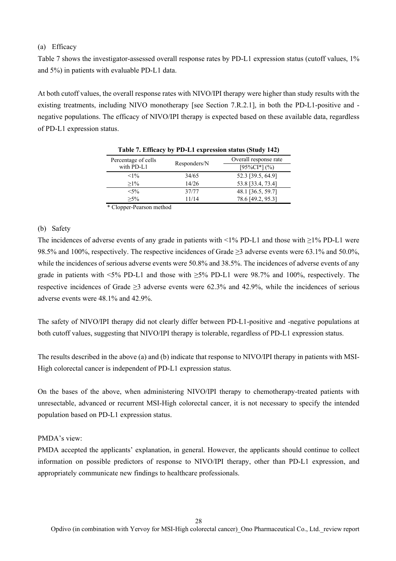## (a) Efficacy

Table 7 shows the investigator-assessed overall response rates by PD-L1 expression status (cutoff values, 1% and 5%) in patients with evaluable PD-L1 data.

At both cutoff values, the overall response rates with NIVO/IPI therapy were higher than study results with the existing treatments, including NIVO monotherapy [see Section 7.R.2.1], in both the PD-L1-positive and negative populations. The efficacy of NIVO/IPI therapy is expected based on these available data, regardless of PD-L1 expression status.

| Percentage of cells                       |              | Overall response rate |
|-------------------------------------------|--------------|-----------------------|
| with PD-L1                                | Responders/N | $[95\%CI*](\%)$       |
| $<1\%$                                    | 34/65        | 52.3 [39.5, 64.9]     |
| $>1\%$                                    | 14/26        | 53.8 [33.4, 73.4]     |
| $< 5\%$                                   | 37/77        | 48.1 [36.5, 59.7]     |
| $>5\%$                                    | 11/14        | 78.6 [49.2, 95.3]     |
| $\cdot$ $\cdot$ $\cdot$ $\cdot$<br>$\sim$ | . .          |                       |

|  |  | Table 7. Efficacy by PD-L1 expression status (Study 142) |  |  |
|--|--|----------------------------------------------------------|--|--|
|  |  |                                                          |  |  |

\* Clopper-Pearson method

### (b) Safety

The incidences of adverse events of any grade in patients with <1% PD-L1 and those with ≥1% PD-L1 were 98.5% and 100%, respectively. The respective incidences of Grade ≥3 adverse events were 63.1% and 50.0%, while the incidences of serious adverse events were 50.8% and 38.5%. The incidences of adverse events of any grade in patients with  $\leq 5\%$  PD-L1 and those with  $\geq 5\%$  PD-L1 were 98.7% and 100%, respectively. The respective incidences of Grade ≥3 adverse events were 62.3% and 42.9%, while the incidences of serious adverse events were 48.1% and 42.9%.

The safety of NIVO/IPI therapy did not clearly differ between PD-L1-positive and -negative populations at both cutoff values, suggesting that NIVO/IPI therapy is tolerable, regardless of PD-L1 expression status.

The results described in the above (a) and (b) indicate that response to NIVO/IPI therapy in patients with MSI-High colorectal cancer is independent of PD-L1 expression status.

On the bases of the above, when administering NIVO/IPI therapy to chemotherapy-treated patients with unresectable, advanced or recurrent MSI-High colorectal cancer, it is not necessary to specify the intended population based on PD-L1 expression status.

### PMDA's view:

PMDA accepted the applicants' explanation, in general. However, the applicants should continue to collect information on possible predictors of response to NIVO/IPI therapy, other than PD-L1 expression, and appropriately communicate new findings to healthcare professionals.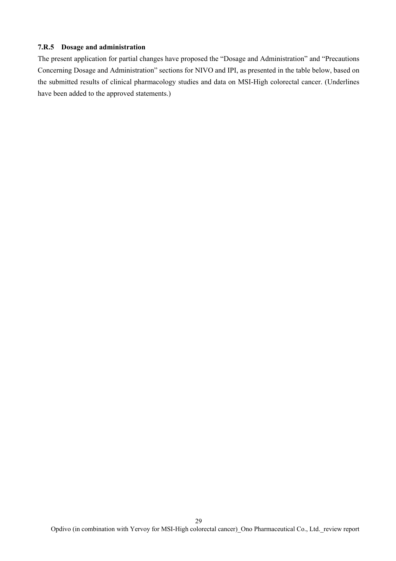### **7.R.5 Dosage and administration**

The present application for partial changes have proposed the "Dosage and Administration" and "Precautions Concerning Dosage and Administration" sections for NIVO and IPI, as presented in the table below, based on the submitted results of clinical pharmacology studies and data on MSI-High colorectal cancer. (Underlines have been added to the approved statements.)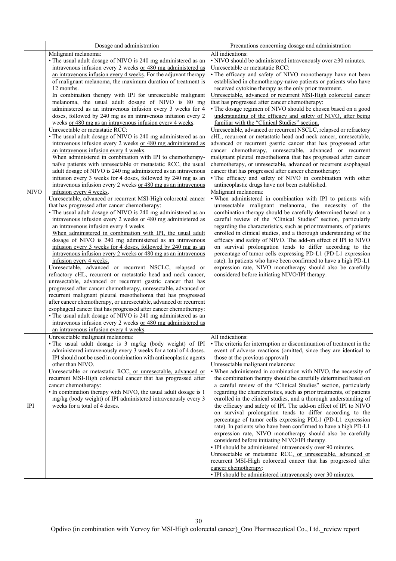|             | Dosage and administration                                                                                                                                                                                                                                                                                                                                                                                                                                                                                                                                                                                                                                                                                                                                                                                                                                                                                                                                                                                                                                                                                                                                                                                                                                                                                                                                                                                                                                                                                                                                                                                                                                                                                                                                                                                                                                                                                                                                                                                                                                                                                                                                                                                                                                                    | Precautions concerning dosage and administration                                                                                                                                                                                                                                                                                                                                                                                                                                                                                                                                                                                                                                                                                                                                                                                                                                                                                                                                                                                                                                                                                                                                                                                                                                                                                                                                                                                                                                                                                                                                                                                                                                                                                                                                                                                                                                                         |
|-------------|------------------------------------------------------------------------------------------------------------------------------------------------------------------------------------------------------------------------------------------------------------------------------------------------------------------------------------------------------------------------------------------------------------------------------------------------------------------------------------------------------------------------------------------------------------------------------------------------------------------------------------------------------------------------------------------------------------------------------------------------------------------------------------------------------------------------------------------------------------------------------------------------------------------------------------------------------------------------------------------------------------------------------------------------------------------------------------------------------------------------------------------------------------------------------------------------------------------------------------------------------------------------------------------------------------------------------------------------------------------------------------------------------------------------------------------------------------------------------------------------------------------------------------------------------------------------------------------------------------------------------------------------------------------------------------------------------------------------------------------------------------------------------------------------------------------------------------------------------------------------------------------------------------------------------------------------------------------------------------------------------------------------------------------------------------------------------------------------------------------------------------------------------------------------------------------------------------------------------------------------------------------------------|----------------------------------------------------------------------------------------------------------------------------------------------------------------------------------------------------------------------------------------------------------------------------------------------------------------------------------------------------------------------------------------------------------------------------------------------------------------------------------------------------------------------------------------------------------------------------------------------------------------------------------------------------------------------------------------------------------------------------------------------------------------------------------------------------------------------------------------------------------------------------------------------------------------------------------------------------------------------------------------------------------------------------------------------------------------------------------------------------------------------------------------------------------------------------------------------------------------------------------------------------------------------------------------------------------------------------------------------------------------------------------------------------------------------------------------------------------------------------------------------------------------------------------------------------------------------------------------------------------------------------------------------------------------------------------------------------------------------------------------------------------------------------------------------------------------------------------------------------------------------------------------------------------|
|             | Malignant melanoma:<br>• The usual adult dosage of NIVO is 240 mg administered as an<br>intravenous infusion every 2 weeks or 480 mg administered as                                                                                                                                                                                                                                                                                                                                                                                                                                                                                                                                                                                                                                                                                                                                                                                                                                                                                                                                                                                                                                                                                                                                                                                                                                                                                                                                                                                                                                                                                                                                                                                                                                                                                                                                                                                                                                                                                                                                                                                                                                                                                                                         | All indications:<br>$\cdot$ NIVO should be administered intravenously over $\geq$ 30 minutes.<br>Unresectable or metastatic RCC:                                                                                                                                                                                                                                                                                                                                                                                                                                                                                                                                                                                                                                                                                                                                                                                                                                                                                                                                                                                                                                                                                                                                                                                                                                                                                                                                                                                                                                                                                                                                                                                                                                                                                                                                                                         |
| <b>NIVO</b> | an intravenous infusion every 4 weeks. For the adjuvant therapy<br>of malignant melanoma, the maximum duration of treatment is<br>12 months.<br>In combination therapy with IPI for unresectable malignant<br>melanoma, the usual adult dosage of NIVO is 80 mg<br>administered as an intravenous infusion every 3 weeks for 4<br>doses, followed by 240 mg as an intravenous infusion every 2<br>weeks or 480 mg as an intravenous infusion every 4 weeks.<br>Unresectable or metastatic RCC:<br>• The usual adult dosage of NIVO is 240 mg administered as an<br>intravenous infusion every 2 weeks or 480 mg administered as<br>an intravenous infusion every 4 weeks.<br>When administered in combination with IPI to chemotherapy-<br>naïve patients with unresectable or metastatic RCC, the usual<br>adult dosage of NIVO is 240 mg administered as an intravenous<br>infusion every 3 weeks for 4 doses, followed by 240 mg as an<br>intravenous infusion every 2 weeks or 480 mg as an intravenous<br>infusion every 4 weeks.<br>Unresectable, advanced or recurrent MSI-High colorectal cancer<br>that has progressed after cancer chemotherapy:<br>• The usual adult dosage of NIVO is 240 mg administered as an<br>intravenous infusion every 2 weeks or 480 mg administered as<br>an intravenous infusion every 4 weeks.<br>When administered in combination with IPI, the usual adult<br>dosage of NIVO is 240 mg administered as an intravenous<br>infusion every 3 weeks for 4 doses, followed by 240 mg as an<br>intravenous infusion every 2 weeks or 480 mg as an intravenous<br>infusion every 4 weeks.<br>Unresectable, advanced or recurrent NSCLC, relapsed or<br>refractory cHL, recurrent or metastatic head and neck cancer,<br>unresectable, advanced or recurrent gastric cancer that has<br>progressed after cancer chemotherapy, unresectable, advanced or<br>recurrent malignant pleural mesothelioma that has progressed<br>after cancer chemotherapy, or unresectable, advanced or recurrent<br>esophageal cancer that has progressed after cancer chemotherapy:<br>• The usual adult dosage of NIVO is 240 mg administered as an<br>intravenous infusion every 2 weeks or 480 mg administered as<br>an intravenous infusion every 4 weeks. | • The efficacy and safety of NIVO monotherapy have not been<br>established in chemotherapy-naïve patients or patients who have<br>received cytokine therapy as the only prior treatment.<br>Unresectable, advanced or recurrent MSI-High colorectal cancer<br>that has progressed after cancer chemotherapy:<br>· The dosage regimen of NIVO should be chosen based on a good<br>understanding of the efficacy and safety of NIVO, after being<br>familiar with the "Clinical Studies" section.<br>Unresectable, advanced or recurrent NSCLC, relapsed or refractory<br>cHL, recurrent or metastatic head and neck cancer, unresectable,<br>advanced or recurrent gastric cancer that has progressed after<br>cancer chemotherapy, unresectable, advanced or recurrent<br>malignant pleural mesothelioma that has progressed after cancer<br>chemotherapy, or unresectable, advanced or recurrent esophageal<br>cancer that has progressed after cancer chemotherapy:<br>· The efficacy and safety of NIVO in combination with other<br>antineoplastic drugs have not been established.<br>Malignant melanoma:<br>. When administered in combination with IPI to patients with<br>unresectable malignant melanoma, the necessity of the<br>combination therapy should be carefully determined based on a<br>careful review of the "Clinical Studies" section, particularly<br>regarding the characteristics, such as prior treatments, of patients<br>enrolled in clinical studies, and a thorough understanding of the<br>efficacy and safety of NIVO. The add-on effect of IPI to NIVO<br>on survival prolongation tends to differ according to the<br>percentage of tumor cells expressing PD-L1 (PD-L1 expression<br>rate). In patients who have been confirmed to have a high PD-L1<br>expression rate, NIVO monotherapy should also be carefully<br>considered before initiating NIVO/IPI therapy. |
| <b>IPI</b>  | Unresectable malignant melanoma:<br>· The usual adult dosage is 3 mg/kg (body weight) of IPI<br>administered intravenously every 3 weeks for a total of 4 doses.<br>IPI should not be used in combination with antineoplastic agents<br>other than NIVO.<br>Unresectable or metastatic RCC, or unresectable, advanced or<br>recurrent MSI-High colorectal cancer that has progressed after<br>cancer chemotherapy:<br>· In combination therapy with NIVO, the usual adult dosage is 1<br>mg/kg (body weight) of IPI administered intravenously every 3<br>weeks for a total of 4 doses.                                                                                                                                                                                                                                                                                                                                                                                                                                                                                                                                                                                                                                                                                                                                                                                                                                                                                                                                                                                                                                                                                                                                                                                                                                                                                                                                                                                                                                                                                                                                                                                                                                                                                      | All indications:<br>• The criteria for interruption or discontinuation of treatment in the<br>event of adverse reactions (omitted, since they are identical to<br>those at the previous approval)<br>Unresectable malignant melanoma:<br>. When administered in combination with NIVO, the necessity of<br>the combination therapy should be carefully determined based on<br>a careful review of the "Clinical Studies" section, particularly<br>regarding the characteristics, such as prior treatments, of patients<br>enrolled in the clinical studies, and a thorough understanding of<br>the efficacy and safety of IPI. The add-on effect of IPI to NIVO<br>on survival prolongation tends to differ according to the<br>percentage of tumor cells expressing PDL1 (PD-L1 expression<br>rate). In patients who have been confirmed to have a high PD-L1<br>expression rate, NIVO monotherapy should also be carefully<br>considered before initiating NIVO/IPI therapy.<br>• IPI should be administered intravenously over 90 minutes.<br>Unresectable or metastatic RCC, or unresectable, advanced or<br>recurrent MSI-High colorectal cancer that has progressed after<br>cancer chemotherapy:<br>· IPI should be administered intravenously over 30 minutes.                                                                                                                                                                                                                                                                                                                                                                                                                                                                                                                                                                                                                                   |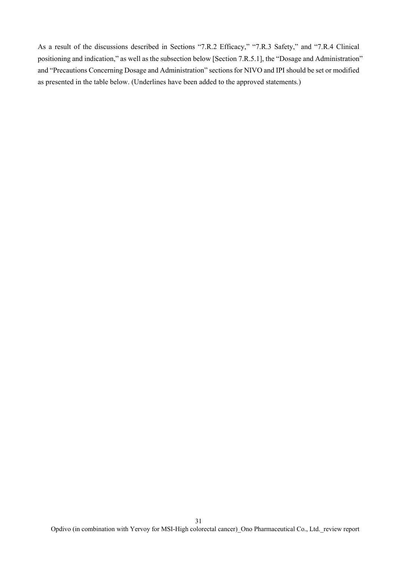As a result of the discussions described in Sections "7.R.2 Efficacy," "7.R.3 Safety," and "7.R.4 Clinical positioning and indication," as well as the subsection below [Section 7.R.5.1], the "Dosage and Administration" and "Precautions Concerning Dosage and Administration" sections for NIVO and IPI should be set or modified as presented in the table below. (Underlines have been added to the approved statements.)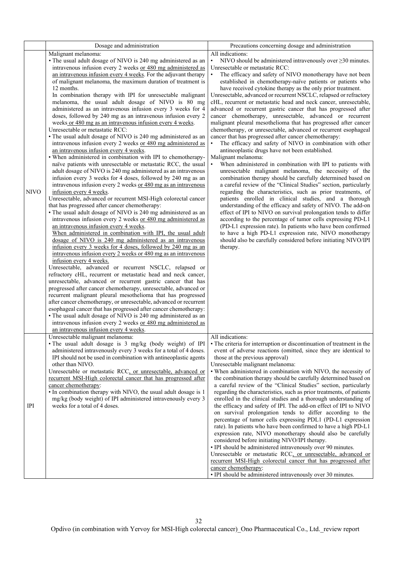|             | Dosage and administration                                                                                                                                                                                                                                                                                                                                                                                                                                                                                                                                                                                                                                                                                                                                                                                                                                                                                                                                                                                                                                                                                                                                                                                                                                                                                                                                                                                                                                                                                                                                                                                                                                                                                                                                                                                                                                                                                                                                                                                                                                                                                                                                                                                                                                                                                                                                                                                                              | Precautions concerning dosage and administration                                                                                                                                                                                                                                                                                                                                                                                                                                                                                                                                                                                                                                                                                                                                                                                                                                                                                                                                                                                                                                                                                                                                                                                                                                                                                                                                                                                                                                                                                                                                                                                                                                                                                             |
|-------------|----------------------------------------------------------------------------------------------------------------------------------------------------------------------------------------------------------------------------------------------------------------------------------------------------------------------------------------------------------------------------------------------------------------------------------------------------------------------------------------------------------------------------------------------------------------------------------------------------------------------------------------------------------------------------------------------------------------------------------------------------------------------------------------------------------------------------------------------------------------------------------------------------------------------------------------------------------------------------------------------------------------------------------------------------------------------------------------------------------------------------------------------------------------------------------------------------------------------------------------------------------------------------------------------------------------------------------------------------------------------------------------------------------------------------------------------------------------------------------------------------------------------------------------------------------------------------------------------------------------------------------------------------------------------------------------------------------------------------------------------------------------------------------------------------------------------------------------------------------------------------------------------------------------------------------------------------------------------------------------------------------------------------------------------------------------------------------------------------------------------------------------------------------------------------------------------------------------------------------------------------------------------------------------------------------------------------------------------------------------------------------------------------------------------------------------|----------------------------------------------------------------------------------------------------------------------------------------------------------------------------------------------------------------------------------------------------------------------------------------------------------------------------------------------------------------------------------------------------------------------------------------------------------------------------------------------------------------------------------------------------------------------------------------------------------------------------------------------------------------------------------------------------------------------------------------------------------------------------------------------------------------------------------------------------------------------------------------------------------------------------------------------------------------------------------------------------------------------------------------------------------------------------------------------------------------------------------------------------------------------------------------------------------------------------------------------------------------------------------------------------------------------------------------------------------------------------------------------------------------------------------------------------------------------------------------------------------------------------------------------------------------------------------------------------------------------------------------------------------------------------------------------------------------------------------------------|
| <b>NIVO</b> | Malignant melanoma:<br>• The usual adult dosage of NIVO is 240 mg administered as an<br>intravenous infusion every 2 weeks or 480 mg administered as<br>an intravenous infusion every 4 weeks. For the adjuvant therapy<br>of malignant melanoma, the maximum duration of treatment is<br>12 months.<br>In combination therapy with IPI for unresectable malignant<br>melanoma, the usual adult dosage of NIVO is 80 mg<br>administered as an intravenous infusion every 3 weeks for 4<br>doses, followed by 240 mg as an intravenous infusion every 2<br>weeks or 480 mg as an intravenous infusion every 4 weeks.<br>Unresectable or metastatic RCC:<br>• The usual adult dosage of NIVO is 240 mg administered as an<br>intravenous infusion every 2 weeks or 480 mg administered as<br>an intravenous infusion every 4 weeks.<br>• When administered in combination with IPI to chemotherapy-<br>naïve patients with unresectable or metastatic RCC, the usual<br>adult dosage of NIVO is 240 mg administered as an intravenous<br>infusion every 3 weeks for 4 doses, followed by 240 mg as an<br>intravenous infusion every 2 weeks or 480 mg as an intravenous<br>infusion every 4 weeks.<br>Unresectable, advanced or recurrent MSI-High colorectal cancer<br>that has progressed after cancer chemotherapy:<br>• The usual adult dosage of NIVO is 240 mg administered as an<br>intravenous infusion every 2 weeks or 480 mg administered as<br>an intravenous infusion every 4 weeks.<br>When administered in combination with IPI, the usual adult<br>dosage of NIVO is 240 mg administered as an intravenous<br>infusion every 3 weeks for 4 doses, followed by 240 mg as an<br>intravenous infusion every 2 weeks or 480 mg as an intravenous<br>infusion every 4 weeks.<br>Unresectable, advanced or recurrent NSCLC, relapsed or<br>refractory cHL, recurrent or metastatic head and neck cancer,<br>unresectable, advanced or recurrent gastric cancer that has<br>progressed after cancer chemotherapy, unresectable, advanced or<br>recurrent malignant pleural mesothelioma that has progressed<br>after cancer chemotherapy, or unresectable, advanced or recurrent<br>esophageal cancer that has progressed after cancer chemotherapy:<br>• The usual adult dosage of NIVO is 240 mg administered as an<br>intravenous infusion every 2 weeks or 480 mg administered as<br>an intravenous infusion every 4 weeks. | All indications:<br>NIVO should be administered intravenously over $\geq$ 30 minutes.<br>٠<br>Unresectable or metastatic RCC:<br>$\bullet$<br>The efficacy and safety of NIVO monotherapy have not been<br>established in chemotherapy-naïve patients or patients who<br>have received cytokine therapy as the only prior treatment.<br>Unresectable, advanced or recurrent NSCLC, relapsed or refractory<br>cHL, recurrent or metastatic head and neck cancer, unresectable,<br>advanced or recurrent gastric cancer that has progressed after<br>cancer chemotherapy, unresectable, advanced or recurrent<br>malignant pleural mesothelioma that has progressed after cancer<br>chemotherapy, or unresectable, advanced or recurrent esophageal<br>cancer that has progressed after cancer chemotherapy:<br>The efficacy and safety of NIVO in combination with other<br>antineoplastic drugs have not been established.<br>Malignant melanoma:<br>When administered in combination with IPI to patients with<br>unresectable malignant melanoma, the necessity of the<br>combination therapy should be carefully determined based on<br>a careful review of the "Clinical Studies" section, particularly<br>regarding the characteristics, such as prior treatments, of<br>patients enrolled in clinical studies, and a thorough<br>understanding of the efficacy and safety of NIVO. The add-on<br>effect of IPI to NIVO on survival prolongation tends to differ<br>according to the percentage of tumor cells expressing PD-L1<br>(PD-L1 expression rate). In patients who have been confirmed<br>to have a high PD-L1 expression rate, NIVO monotherapy<br>should also be carefully considered before initiating NIVO/IPI<br>therapy. |
| <b>IPI</b>  | Unresectable malignant melanoma:<br>· The usual adult dosage is 3 mg/kg (body weight) of IPI<br>administered intravenously every 3 weeks for a total of 4 doses.<br>IPI should not be used in combination with antineoplastic agents<br>other than NIVO.<br>Unresectable or metastatic RCC, or unresectable, advanced or<br>recurrent MSI-High colorectal cancer that has progressed after<br>cancer chemotherapy:<br>· In combination therapy with NIVO, the usual adult dosage is 1<br>mg/kg (body weight) of IPI administered intravenously every 3<br>weeks for a total of 4 doses.                                                                                                                                                                                                                                                                                                                                                                                                                                                                                                                                                                                                                                                                                                                                                                                                                                                                                                                                                                                                                                                                                                                                                                                                                                                                                                                                                                                                                                                                                                                                                                                                                                                                                                                                                                                                                                                | All indications:<br>• The criteria for interruption or discontinuation of treatment in the<br>event of adverse reactions (omitted, since they are identical to<br>those at the previous approval)<br>Unresectable malignant melanoma:<br>. When administered in combination with NIVO, the necessity of<br>the combination therapy should be carefully determined based on<br>a careful review of the "Clinical Studies" section, particularly<br>regarding the characteristics, such as prior treatments, of patients<br>enrolled in the clinical studies and a thorough understanding of<br>the efficacy and safety of IPI. The add-on effect of IPI to NIVO<br>on survival prolongation tends to differ according to the<br>percentage of tumor cells expressing PDL1 (PD-L1 expression<br>rate). In patients who have been confirmed to have a high PD-L1<br>expression rate, NIVO monotherapy should also be carefully<br>considered before initiating NIVO/IPI therapy.<br>• IPI should be administered intravenously over 90 minutes.<br>Unresectable or metastatic RCC, or unresectable, advanced or<br>recurrent MSI-High colorectal cancer that has progressed after<br>cancer chemotherapy:<br>· IPI should be administered intravenously over 30 minutes.                                                                                                                                                                                                                                                                                                                                                                                                                                                                        |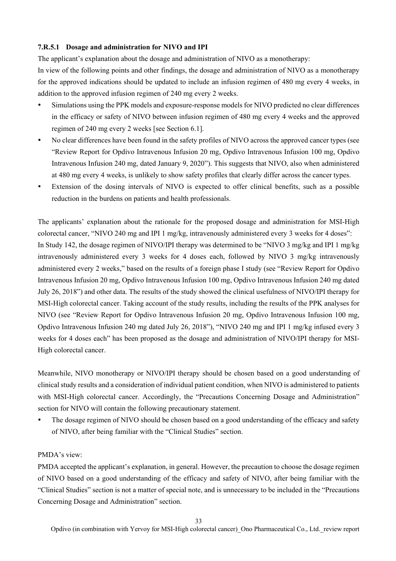### **7.R.5.1 Dosage and administration for NIVO and IPI**

The applicant's explanation about the dosage and administration of NIVO as a monotherapy:

In view of the following points and other findings, the dosage and administration of NIVO as a monotherapy for the approved indications should be updated to include an infusion regimen of 480 mg every 4 weeks, in addition to the approved infusion regimen of 240 mg every 2 weeks.

- Simulations using the PPK models and exposure-response models for NIVO predicted no clear differences in the efficacy or safety of NIVO between infusion regimen of 480 mg every 4 weeks and the approved regimen of 240 mg every 2 weeks [see Section 6.1].
- No clear differences have been found in the safety profiles of NIVO across the approved cancer types (see "Review Report for Opdivo Intravenous Infusion 20 mg, Opdivo Intravenous Infusion 100 mg, Opdivo Intravenous Infusion 240 mg, dated January 9, 2020"). This suggests that NIVO, also when administered at 480 mg every 4 weeks, is unlikely to show safety profiles that clearly differ across the cancer types.
- Extension of the dosing intervals of NIVO is expected to offer clinical benefits, such as a possible reduction in the burdens on patients and health professionals.

The applicants' explanation about the rationale for the proposed dosage and administration for MSI-High colorectal cancer, "NIVO 240 mg and IPI 1 mg/kg, intravenously administered every 3 weeks for 4 doses": In Study 142, the dosage regimen of NIVO/IPI therapy was determined to be "NIVO 3 mg/kg and IPI 1 mg/kg intravenously administered every 3 weeks for 4 doses each, followed by NIVO 3 mg/kg intravenously administered every 2 weeks," based on the results of a foreign phase I study (see "Review Report for Opdivo Intravenous Infusion 20 mg, Opdivo Intravenous Infusion 100 mg, Opdivo Intravenous Infusion 240 mg dated July 26, 2018") and other data. The results of the study showed the clinical usefulness of NIVO/IPI therapy for MSI-High colorectal cancer. Taking account of the study results, including the results of the PPK analyses for NIVO (see "Review Report for Opdivo Intravenous Infusion 20 mg, Opdivo Intravenous Infusion 100 mg, Opdivo Intravenous Infusion 240 mg dated July 26, 2018"), "NIVO 240 mg and IPI 1 mg/kg infused every 3 weeks for 4 doses each" has been proposed as the dosage and administration of NIVO/IPI therapy for MSI-High colorectal cancer.

Meanwhile, NIVO monotherapy or NIVO/IPI therapy should be chosen based on a good understanding of clinical study results and a consideration of individual patient condition, when NIVO is administered to patients with MSI-High colorectal cancer. Accordingly, the "Precautions Concerning Dosage and Administration" section for NIVO will contain the following precautionary statement.

 The dosage regimen of NIVO should be chosen based on a good understanding of the efficacy and safety of NIVO, after being familiar with the "Clinical Studies" section.

## PMDA's view:

PMDA accepted the applicant's explanation, in general. However, the precaution to choose the dosage regimen of NIVO based on a good understanding of the efficacy and safety of NIVO, after being familiar with the "Clinical Studies" section is not a matter of special note, and is unnecessary to be included in the "Precautions Concerning Dosage and Administration" section.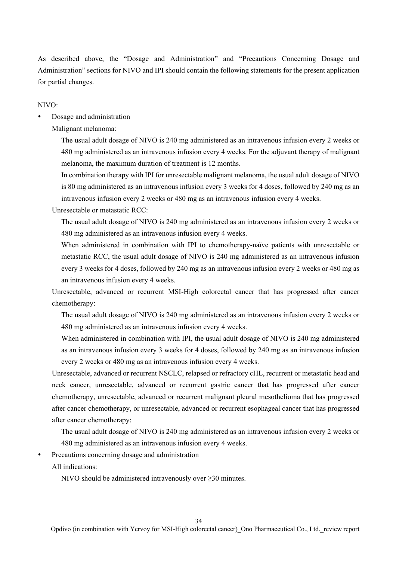As described above, the "Dosage and Administration" and "Precautions Concerning Dosage and Administration" sections for NIVO and IPI should contain the following statements for the present application for partial changes.

NIVO:

Dosage and administration

Malignant melanoma:

The usual adult dosage of NIVO is 240 mg administered as an intravenous infusion every 2 weeks or 480 mg administered as an intravenous infusion every 4 weeks. For the adjuvant therapy of malignant melanoma, the maximum duration of treatment is 12 months.

In combination therapy with IPI for unresectable malignant melanoma, the usual adult dosage of NIVO is 80 mg administered as an intravenous infusion every 3 weeks for 4 doses, followed by 240 mg as an intravenous infusion every 2 weeks or 480 mg as an intravenous infusion every 4 weeks.

Unresectable or metastatic RCC:

The usual adult dosage of NIVO is 240 mg administered as an intravenous infusion every 2 weeks or 480 mg administered as an intravenous infusion every 4 weeks.

When administered in combination with IPI to chemotherapy-naïve patients with unresectable or metastatic RCC, the usual adult dosage of NIVO is 240 mg administered as an intravenous infusion every 3 weeks for 4 doses, followed by 240 mg as an intravenous infusion every 2 weeks or 480 mg as an intravenous infusion every 4 weeks.

Unresectable, advanced or recurrent MSI-High colorectal cancer that has progressed after cancer chemotherapy:

The usual adult dosage of NIVO is 240 mg administered as an intravenous infusion every 2 weeks or 480 mg administered as an intravenous infusion every 4 weeks.

When administered in combination with IPI, the usual adult dosage of NIVO is 240 mg administered as an intravenous infusion every 3 weeks for 4 doses, followed by 240 mg as an intravenous infusion every 2 weeks or 480 mg as an intravenous infusion every 4 weeks.

Unresectable, advanced or recurrent NSCLC, relapsed or refractory cHL, recurrent or metastatic head and neck cancer, unresectable, advanced or recurrent gastric cancer that has progressed after cancer chemotherapy, unresectable, advanced or recurrent malignant pleural mesothelioma that has progressed after cancer chemotherapy, or unresectable, advanced or recurrent esophageal cancer that has progressed after cancer chemotherapy:

The usual adult dosage of NIVO is 240 mg administered as an intravenous infusion every 2 weeks or 480 mg administered as an intravenous infusion every 4 weeks.

Precautions concerning dosage and administration

All indications:

NIVO should be administered intravenously over ≥30 minutes.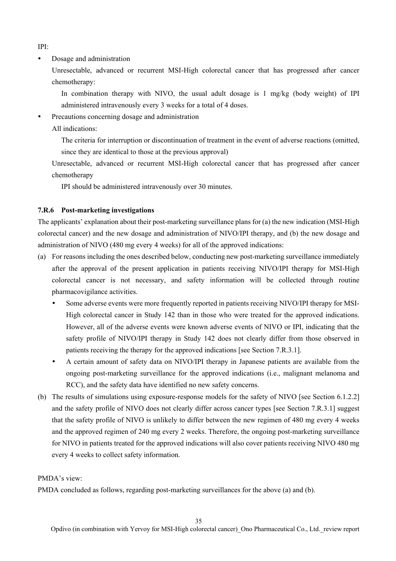IPI:

• Dosage and administration

Unresectable, advanced or recurrent MSI-High colorectal cancer that has progressed after cancer chemotherapy:

In combination therapy with NIVO, the usual adult dosage is 1 mg/kg (body weight) of IPI administered intravenously every 3 weeks for a total of 4 doses.

- Precautions concerning dosage and administration
	- All indications:

The criteria for interruption or discontinuation of treatment in the event of adverse reactions (omitted, since they are identical to those at the previous approval)

Unresectable, advanced or recurrent MSI-High colorectal cancer that has progressed after cancer chemotherapy

IPI should be administered intravenously over 30 minutes.

### **7.R.6 Post-marketing investigations**

The applicants' explanation about their post-marketing surveillance plans for (a) the new indication (MSI-High colorectal cancer) and the new dosage and administration of NIVO/IPI therapy, and (b) the new dosage and administration of NIVO (480 mg every 4 weeks) for all of the approved indications:

- (a) For reasons including the ones described below, conducting new post-marketing surveillance immediately after the approval of the present application in patients receiving NIVO/IPI therapy for MSI-High colorectal cancer is not necessary, and safety information will be collected through routine pharmacovigilance activities.
	- Some adverse events were more frequently reported in patients receiving NIVO/IPI therapy for MSI-High colorectal cancer in Study 142 than in those who were treated for the approved indications. However, all of the adverse events were known adverse events of NIVO or IPI, indicating that the safety profile of NIVO/IPI therapy in Study 142 does not clearly differ from those observed in patients receiving the therapy for the approved indications [see Section 7.R.3.1].
	- A certain amount of safety data on NIVO/IPI therapy in Japanese patients are available from the ongoing post-marketing surveillance for the approved indications (i.e., malignant melanoma and RCC), and the safety data have identified no new safety concerns.
- (b) The results of simulations using exposure-response models for the safety of NIVO [see Section 6.1.2.2] and the safety profile of NIVO does not clearly differ across cancer types [see Section 7.R.3.1] suggest that the safety profile of NIVO is unlikely to differ between the new regimen of 480 mg every 4 weeks and the approved regimen of 240 mg every 2 weeks. Therefore, the ongoing post-marketing surveillance for NIVO in patients treated for the approved indications will also cover patients receiving NIVO 480 mg every 4 weeks to collect safety information.

## PMDA's view:

PMDA concluded as follows, regarding post-marketing surveillances for the above (a) and (b).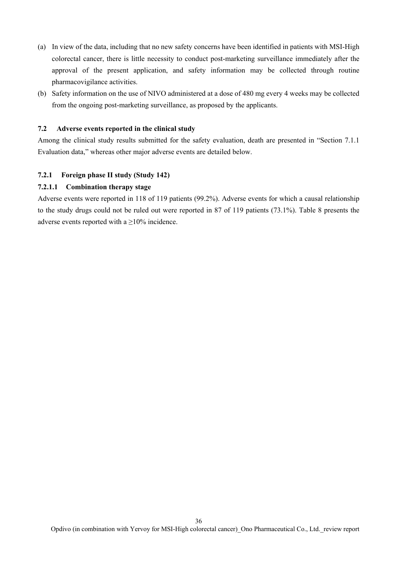- (a) In view of the data, including that no new safety concerns have been identified in patients with MSI-High colorectal cancer, there is little necessity to conduct post-marketing surveillance immediately after the approval of the present application, and safety information may be collected through routine pharmacovigilance activities.
- (b) Safety information on the use of NIVO administered at a dose of 480 mg every 4 weeks may be collected from the ongoing post-marketing surveillance, as proposed by the applicants.

### **7.2 Adverse events reported in the clinical study**

Among the clinical study results submitted for the safety evaluation, death are presented in "Section 7.1.1 Evaluation data," whereas other major adverse events are detailed below.

### **7.2.1 Foreign phase II study (Study 142)**

### **7.2.1.1 Combination therapy stage**

Adverse events were reported in 118 of 119 patients (99.2%). Adverse events for which a causal relationship to the study drugs could not be ruled out were reported in 87 of 119 patients (73.1%). Table 8 presents the adverse events reported with a  $\geq$ 10% incidence.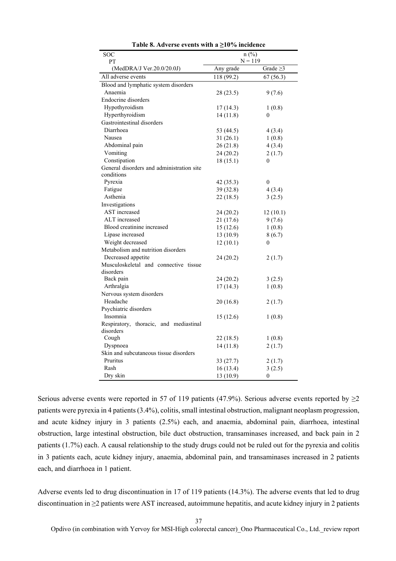| SOC                                       | $n$ (%)    |                  |  |
|-------------------------------------------|------------|------------------|--|
| PT                                        | $N = 119$  |                  |  |
| (MedDRA/J Ver.20.0/20.0J)                 | Any grade  | Grade $\geq$ 3   |  |
| All adverse events                        | 118 (99.2) | 67(56.3)         |  |
| Blood and lymphatic system disorders      |            |                  |  |
| Anaemia                                   | 28(23.5)   | 9(7.6)           |  |
| Endocrine disorders                       |            |                  |  |
| Hypothyroidism                            | 17 (14.3)  | 1(0.8)           |  |
| Hyperthyroidism                           | 14(11.8)   | 0                |  |
| Gastrointestinal disorders                |            |                  |  |
| Diarrhoea                                 | 53 (44.5)  | 4(3.4)           |  |
| Nausea                                    | 31(26.1)   | 1(0.8)           |  |
| Abdominal pain                            | 26(21.8)   | 4(3.4)           |  |
| Vomiting                                  | 24(20.2)   | 2(1.7)           |  |
| Constipation                              | 18(15.1)   | $\boldsymbol{0}$ |  |
| General disorders and administration site |            |                  |  |
| conditions                                |            |                  |  |
| Pyrexia                                   | 42 (35.3)  | $\theta$         |  |
| Fatigue                                   | 39 (32.8)  | 4(3.4)           |  |
| Asthenia                                  | 22 (18.5)  | 3(2.5)           |  |
| Investigations                            |            |                  |  |
| AST increased                             | 24(20.2)   | 12(10.1)         |  |
| ALT increased                             | 21(17.6)   | 9(7.6)           |  |
| Blood creatinine increased                | 15(12.6)   | 1(0.8)           |  |
| Lipase increased                          | 13(10.9)   | 8(6.7)           |  |
| Weight decreased                          | 12(10.1)   | $\theta$         |  |
| Metabolism and nutrition disorders        |            |                  |  |
| Decreased appetite                        | 24 (20.2)  | 2(1.7)           |  |
| Musculoskeletal and connective tissue     |            |                  |  |
| disorders                                 |            |                  |  |
| Back pain                                 | 24 (20.2)  | 3(2.5)           |  |
| Arthralgia                                | 17 (14.3)  | 1(0.8)           |  |
| Nervous system disorders                  |            |                  |  |
| Headache                                  | 20(16.8)   | 2(1.7)           |  |
| Psychiatric disorders                     |            |                  |  |
| Insomnia                                  | 15(12.6)   | 1(0.8)           |  |
| Respiratory, thoracic, and mediastinal    |            |                  |  |
| disorders                                 |            |                  |  |
| Cough                                     | 22 (18.5)  | 1(0.8)           |  |
| Dyspnoea                                  | 14(11.8)   | 2(1.7)           |  |
| Skin and subcutaneous tissue disorders    |            |                  |  |
| Pruritus                                  | 33(27.7)   | 2(1.7)           |  |
| Rash                                      | 16 (13.4)  | 3(2.5)           |  |
| Dry skin                                  | 13 (10.9)  | $\boldsymbol{0}$ |  |

**Table 8. Adverse events with a ≥10% incidence** 

Serious adverse events were reported in 57 of 119 patients (47.9%). Serious adverse events reported by  $\geq$ 2 patients were pyrexia in 4 patients (3.4%), colitis, small intestinal obstruction, malignant neoplasm progression, and acute kidney injury in 3 patients (2.5%) each, and anaemia, abdominal pain, diarrhoea, intestinal obstruction, large intestinal obstruction, bile duct obstruction, transaminases increased, and back pain in 2 patients (1.7%) each. A causal relationship to the study drugs could not be ruled out for the pyrexia and colitis in 3 patients each, acute kidney injury, anaemia, abdominal pain, and transaminases increased in 2 patients each, and diarrhoea in 1 patient.

Adverse events led to drug discontinuation in 17 of 119 patients (14.3%). The adverse events that led to drug discontinuation in ≥2 patients were AST increased, autoimmune hepatitis, and acute kidney injury in 2 patients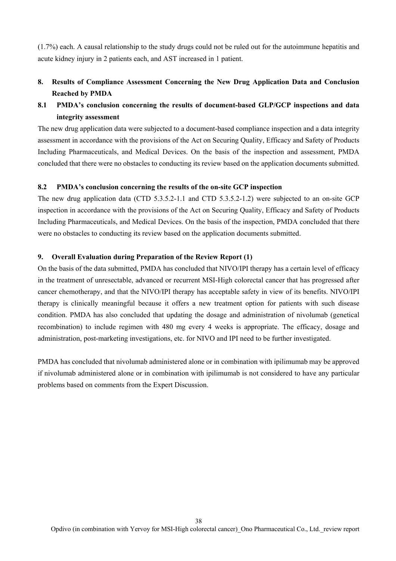(1.7%) each. A causal relationship to the study drugs could not be ruled out for the autoimmune hepatitis and acute kidney injury in 2 patients each, and AST increased in 1 patient.

# **8. Results of Compliance Assessment Concerning the New Drug Application Data and Conclusion Reached by PMDA**

# **8.1 PMDA's conclusion concerning the results of document-based GLP/GCP inspections and data integrity assessment**

The new drug application data were subjected to a document-based compliance inspection and a data integrity assessment in accordance with the provisions of the Act on Securing Quality, Efficacy and Safety of Products Including Pharmaceuticals, and Medical Devices. On the basis of the inspection and assessment, PMDA concluded that there were no obstacles to conducting its review based on the application documents submitted.

### **8.2 PMDA's conclusion concerning the results of the on-site GCP inspection**

The new drug application data (CTD 5.3.5.2-1.1 and CTD 5.3.5.2-1.2) were subjected to an on-site GCP inspection in accordance with the provisions of the Act on Securing Quality, Efficacy and Safety of Products Including Pharmaceuticals, and Medical Devices. On the basis of the inspection, PMDA concluded that there were no obstacles to conducting its review based on the application documents submitted.

### **9. Overall Evaluation during Preparation of the Review Report (1)**

On the basis of the data submitted, PMDA has concluded that NIVO/IPI therapy has a certain level of efficacy in the treatment of unresectable, advanced or recurrent MSI-High colorectal cancer that has progressed after cancer chemotherapy, and that the NIVO/IPI therapy has acceptable safety in view of its benefits. NIVO/IPI therapy is clinically meaningful because it offers a new treatment option for patients with such disease condition. PMDA has also concluded that updating the dosage and administration of nivolumab (genetical recombination) to include regimen with 480 mg every 4 weeks is appropriate. The efficacy, dosage and administration, post-marketing investigations, etc. for NIVO and IPI need to be further investigated.

PMDA has concluded that nivolumab administered alone or in combination with ipilimumab may be approved if nivolumab administered alone or in combination with ipilimumab is not considered to have any particular problems based on comments from the Expert Discussion.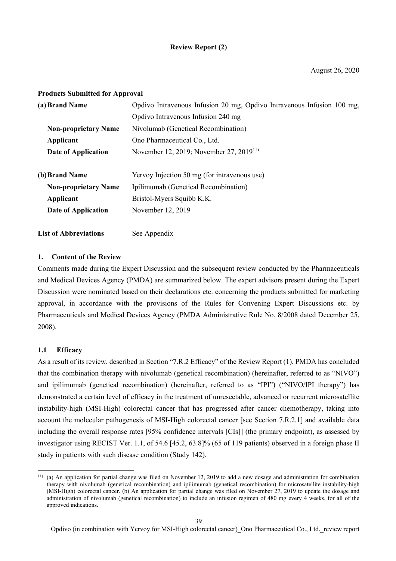## **Review Report (2)**

### **Products Submitted for Approval**

| (a) Brand Name                                                             | Opdivo Intravenous Infusion 20 mg, Opdivo Intravenous Infusion 100 mg, |  |  |
|----------------------------------------------------------------------------|------------------------------------------------------------------------|--|--|
|                                                                            | Opdivo Intravenous Infusion 240 mg                                     |  |  |
| Nivolumab (Genetical Recombination)<br><b>Non-proprietary Name</b>         |                                                                        |  |  |
| Ono Pharmaceutical Co., Ltd.<br>Applicant                                  |                                                                        |  |  |
| November 12, 2019; November 27, 2019 <sup>11)</sup><br>Date of Application |                                                                        |  |  |
| (b) Brand Name                                                             | Yervoy Injection 50 mg (for intravenous use)                           |  |  |
| <b>Non-proprietary Name</b><br>Ipilimumab (Genetical Recombination)        |                                                                        |  |  |
| Bristol-Myers Squibb K.K.<br>Applicant                                     |                                                                        |  |  |
| Date of Application                                                        | November 12, 2019                                                      |  |  |
| <b>List of Abbreviations</b>                                               | See Appendix                                                           |  |  |

### **1. Content of the Review**

Comments made during the Expert Discussion and the subsequent review conducted by the Pharmaceuticals and Medical Devices Agency (PMDA) are summarized below. The expert advisors present during the Expert Discussion were nominated based on their declarations etc. concerning the products submitted for marketing approval, in accordance with the provisions of the Rules for Convening Expert Discussions etc. by Pharmaceuticals and Medical Devices Agency (PMDA Administrative Rule No. 8/2008 dated December 25, 2008).

### **1.1 Efficacy**

l

As a result of its review, described in Section "7.R.2 Efficacy" of the Review Report (1), PMDA has concluded that the combination therapy with nivolumab (genetical recombination) (hereinafter, referred to as "NIVO") and ipilimumab (genetical recombination) (hereinafter, referred to as "IPI") ("NIVO/IPI therapy") has demonstrated a certain level of efficacy in the treatment of unresectable, advanced or recurrent microsatellite instability-high (MSI-High) colorectal cancer that has progressed after cancer chemotherapy, taking into account the molecular pathogenesis of MSI-High colorectal cancer [see Section 7.R.2.1] and available data including the overall response rates [95% confidence intervals [CIs]] (the primary endpoint), as assessed by investigator using RECIST Ver. 1.1, of 54.6 [45.2, 63.8]% (65 of 119 patients) observed in a foreign phase II study in patients with such disease condition (Study 142).

<sup>11) (</sup>a) An application for partial change was filed on November 12, 2019 to add a new dosage and administration for combination therapy with nivolumab (genetical recombination) and ipilimumab (genetical recombination) for microsatellite instability-high (MSI-High) colorectal cancer. (b) An application for partial change was filed on November 27, 2019 to update the dosage and administration of nivolumab (genetical recombination) to include an infusion regimen of 480 mg every 4 weeks, for all of the approved indications.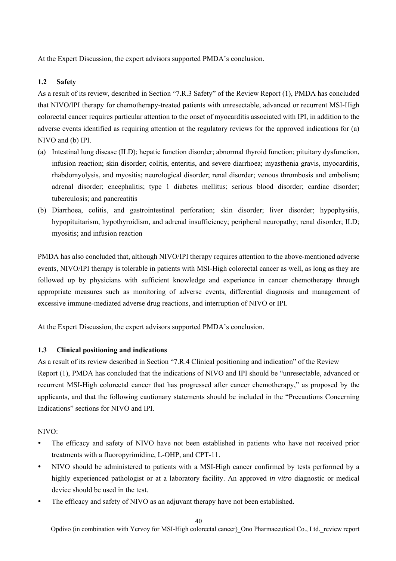At the Expert Discussion, the expert advisors supported PMDA's conclusion.

## **1.2 Safety**

As a result of its review, described in Section "7.R.3 Safety" of the Review Report (1), PMDA has concluded that NIVO/IPI therapy for chemotherapy-treated patients with unresectable, advanced or recurrent MSI-High colorectal cancer requires particular attention to the onset of myocarditis associated with IPI, in addition to the adverse events identified as requiring attention at the regulatory reviews for the approved indications for (a) NIVO and (b) IPI.

- (a) Intestinal lung disease (ILD); hepatic function disorder; abnormal thyroid function; pituitary dysfunction, infusion reaction; skin disorder; colitis, enteritis, and severe diarrhoea; myasthenia gravis, myocarditis, rhabdomyolysis, and myositis; neurological disorder; renal disorder; venous thrombosis and embolism; adrenal disorder; encephalitis; type 1 diabetes mellitus; serious blood disorder; cardiac disorder; tuberculosis; and pancreatitis
- (b) Diarrhoea, colitis, and gastrointestinal perforation; skin disorder; liver disorder; hypophysitis, hypopituitarism, hypothyroidism, and adrenal insufficiency; peripheral neuropathy; renal disorder; ILD; myositis; and infusion reaction

PMDA has also concluded that, although NIVO/IPI therapy requires attention to the above-mentioned adverse events, NIVO/IPI therapy is tolerable in patients with MSI-High colorectal cancer as well, as long as they are followed up by physicians with sufficient knowledge and experience in cancer chemotherapy through appropriate measures such as monitoring of adverse events, differential diagnosis and management of excessive immune-mediated adverse drug reactions, and interruption of NIVO or IPI.

At the Expert Discussion, the expert advisors supported PMDA's conclusion.

## **1.3 Clinical positioning and indications**

As a result of its review described in Section "7.R.4 Clinical positioning and indication" of the Review Report (1), PMDA has concluded that the indications of NIVO and IPI should be "unresectable, advanced or recurrent MSI-High colorectal cancer that has progressed after cancer chemotherapy," as proposed by the applicants, and that the following cautionary statements should be included in the "Precautions Concerning Indications" sections for NIVO and IPI.

### NIVO:

- The efficacy and safety of NIVO have not been established in patients who have not received prior treatments with a fluoropyrimidine, L-OHP, and CPT-11.
- NIVO should be administered to patients with a MSI-High cancer confirmed by tests performed by a highly experienced pathologist or at a laboratory facility. An approved *in vitro* diagnostic or medical device should be used in the test.
- The efficacy and safety of NIVO as an adjuvant therapy have not been established.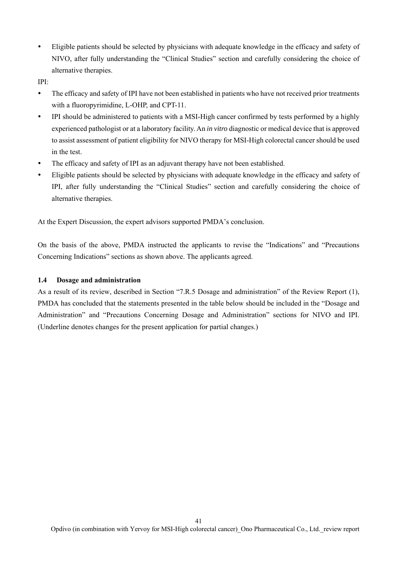Eligible patients should be selected by physicians with adequate knowledge in the efficacy and safety of NIVO, after fully understanding the "Clinical Studies" section and carefully considering the choice of alternative therapies.

IPI:

- The efficacy and safety of IPI have not been established in patients who have not received prior treatments with a fluoropyrimidine, L-OHP, and CPT-11.
- IPI should be administered to patients with a MSI-High cancer confirmed by tests performed by a highly experienced pathologist or at a laboratory facility. An *in vitro* diagnostic or medical device that is approved to assist assessment of patient eligibility for NIVO therapy for MSI-High colorectal cancer should be used in the test.
- The efficacy and safety of IPI as an adjuvant therapy have not been established.
- Eligible patients should be selected by physicians with adequate knowledge in the efficacy and safety of IPI, after fully understanding the "Clinical Studies" section and carefully considering the choice of alternative therapies.

At the Expert Discussion, the expert advisors supported PMDA's conclusion.

On the basis of the above, PMDA instructed the applicants to revise the "Indications" and "Precautions Concerning Indications" sections as shown above. The applicants agreed.

### **1.4 Dosage and administration**

As a result of its review, described in Section "7.R.5 Dosage and administration" of the Review Report (1), PMDA has concluded that the statements presented in the table below should be included in the "Dosage and Administration" and "Precautions Concerning Dosage and Administration" sections for NIVO and IPI. (Underline denotes changes for the present application for partial changes.)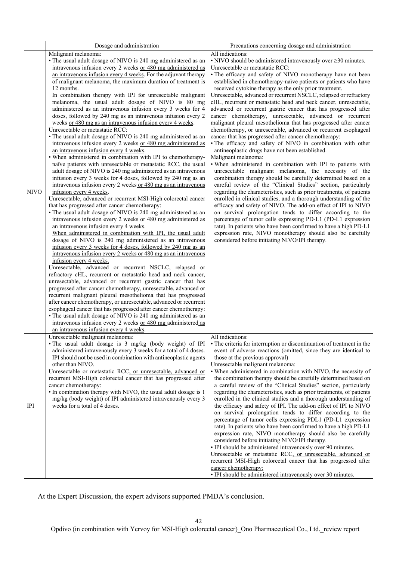|             | Dosage and administration                                                                                                                                                                                                                                                                                                                                                                                                                                                                                                                                                                                                                                                                                                                                                                                                                                                                                                                                                                                                                                                                                                                                                                                                                                                                                                                                                                                                                                                                                                                                                                                                                                                                                                                                                                                                                                                                                                                                                                                                                                                                                                                                                                                                                                                                                                                                                                    | Precautions concerning dosage and administration                                                                                                                                                                                                                                                                                                                                                                                                                                                                                                                                                                                                                                                                                                                                                                                                                                                                                                                                                                                                                                                                                                                                                                                                                                                                                                                                                                                                                                                                                                                                                                                                                                                                                      |
|-------------|----------------------------------------------------------------------------------------------------------------------------------------------------------------------------------------------------------------------------------------------------------------------------------------------------------------------------------------------------------------------------------------------------------------------------------------------------------------------------------------------------------------------------------------------------------------------------------------------------------------------------------------------------------------------------------------------------------------------------------------------------------------------------------------------------------------------------------------------------------------------------------------------------------------------------------------------------------------------------------------------------------------------------------------------------------------------------------------------------------------------------------------------------------------------------------------------------------------------------------------------------------------------------------------------------------------------------------------------------------------------------------------------------------------------------------------------------------------------------------------------------------------------------------------------------------------------------------------------------------------------------------------------------------------------------------------------------------------------------------------------------------------------------------------------------------------------------------------------------------------------------------------------------------------------------------------------------------------------------------------------------------------------------------------------------------------------------------------------------------------------------------------------------------------------------------------------------------------------------------------------------------------------------------------------------------------------------------------------------------------------------------------------|---------------------------------------------------------------------------------------------------------------------------------------------------------------------------------------------------------------------------------------------------------------------------------------------------------------------------------------------------------------------------------------------------------------------------------------------------------------------------------------------------------------------------------------------------------------------------------------------------------------------------------------------------------------------------------------------------------------------------------------------------------------------------------------------------------------------------------------------------------------------------------------------------------------------------------------------------------------------------------------------------------------------------------------------------------------------------------------------------------------------------------------------------------------------------------------------------------------------------------------------------------------------------------------------------------------------------------------------------------------------------------------------------------------------------------------------------------------------------------------------------------------------------------------------------------------------------------------------------------------------------------------------------------------------------------------------------------------------------------------|
| <b>NIVO</b> | Malignant melanoma:<br>• The usual adult dosage of NIVO is 240 mg administered as an<br>intravenous infusion every 2 weeks or 480 mg administered as<br>an intravenous infusion every 4 weeks. For the adjuvant therapy<br>of malignant melanoma, the maximum duration of treatment is<br>12 months.<br>In combination therapy with IPI for unresectable malignant<br>melanoma, the usual adult dosage of NIVO is 80 mg<br>administered as an intravenous infusion every 3 weeks for 4<br>doses, followed by 240 mg as an intravenous infusion every 2<br>weeks or 480 mg as an intravenous infusion every 4 weeks.<br>Unresectable or metastatic RCC:<br>• The usual adult dosage of NIVO is 240 mg administered as an<br>intravenous infusion every 2 weeks or 480 mg administered as<br>an intravenous infusion every 4 weeks.<br>• When administered in combination with IPI to chemotherapy-<br>naïve patients with unresectable or metastatic RCC, the usual<br>adult dosage of NIVO is 240 mg administered as an intravenous<br>infusion every 3 weeks for 4 doses, followed by 240 mg as an<br>intravenous infusion every 2 weeks or 480 mg as an intravenous<br>infusion every 4 weeks.<br>Unresectable, advanced or recurrent MSI-High colorectal cancer<br>that has progressed after cancer chemotherapy:<br>• The usual adult dosage of NIVO is 240 mg administered as an<br>intravenous infusion every 2 weeks or 480 mg administered as<br>an intravenous infusion every 4 weeks.<br>When administered in combination with IPI, the usual adult<br>dosage of NIVO is 240 mg administered as an intravenous<br>infusion every 3 weeks for 4 doses, followed by 240 mg as an<br>intravenous infusion every 2 weeks or 480 mg as an intravenous<br>infusion every 4 weeks.<br>Unresectable, advanced or recurrent NSCLC, relapsed or<br>refractory cHL, recurrent or metastatic head and neck cancer,<br>unresectable, advanced or recurrent gastric cancer that has<br>progressed after cancer chemotherapy, unresectable, advanced or<br>recurrent malignant pleural mesothelioma that has progressed<br>after cancer chemotherapy, or unresectable, advanced or recurrent<br>esophageal cancer that has progressed after cancer chemotherapy:<br>• The usual adult dosage of NIVO is 240 mg administered as an<br>intravenous infusion every 2 weeks or 480 mg administered as | All indications:<br>$\cdot$ NIVO should be administered intravenously over $\geq$ 30 minutes.<br>Unresectable or metastatic RCC:<br>• The efficacy and safety of NIVO monotherapy have not been<br>established in chemotherapy-naïve patients or patients who have<br>received cytokine therapy as the only prior treatment.<br>Unresectable, advanced or recurrent NSCLC, relapsed or refractory<br>cHL, recurrent or metastatic head and neck cancer, unresectable,<br>advanced or recurrent gastric cancer that has progressed after<br>cancer chemotherapy, unresectable, advanced or recurrent<br>malignant pleural mesothelioma that has progressed after cancer<br>chemotherapy, or unresectable, advanced or recurrent esophageal<br>cancer that has progressed after cancer chemotherapy:<br>• The efficacy and safety of NIVO in combination with other<br>antineoplastic drugs have not been established.<br>Malignant melanoma:<br>. When administered in combination with IPI to patients with<br>unresectable malignant melanoma, the necessity of the<br>combination therapy should be carefully determined based on a<br>careful review of the "Clinical Studies" section, particularly<br>regarding the characteristics, such as prior treatments, of patients<br>enrolled in clinical studies, and a thorough understanding of the<br>efficacy and safety of NIVO. The add-on effect of IPI to NIVO<br>on survival prolongation tends to differ according to the<br>percentage of tumor cells expressing PD-L1 (PD-L1 expression<br>rate). In patients who have been confirmed to have a high PD-L1<br>expression rate, NIVO monotherapy should also be carefully<br>considered before initiating NIVO/IPI therapy. |
| IPI         | Unresectable malignant melanoma:<br>• The usual adult dosage is 3 mg/kg (body weight) of IPI<br>administered intravenously every 3 weeks for a total of 4 doses.<br>IPI should not be used in combination with antineoplastic agents<br>other than NIVO.<br>Unresectable or metastatic RCC, or unresectable, advanced or<br>recurrent MSI-High colorectal cancer that has progressed after<br>cancer chemotherapy:<br>• In combination therapy with NIVO, the usual adult dosage is 1<br>mg/kg (body weight) of IPI administered intravenously every 3<br>weeks for a total of 4 doses.                                                                                                                                                                                                                                                                                                                                                                                                                                                                                                                                                                                                                                                                                                                                                                                                                                                                                                                                                                                                                                                                                                                                                                                                                                                                                                                                                                                                                                                                                                                                                                                                                                                                                                                                                                                                      | All indications:<br>• The criteria for interruption or discontinuation of treatment in the<br>event of adverse reactions (omitted, since they are identical to<br>those at the previous approval)<br>Unresectable malignant melanoma:<br>. When administered in combination with NIVO, the necessity of<br>the combination therapy should be carefully determined based on<br>a careful review of the "Clinical Studies" section, particularly<br>regarding the characteristics, such as prior treatments, of patients<br>enrolled in the clinical studies and a thorough understanding of<br>the efficacy and safety of IPI. The add-on effect of IPI to NIVO<br>on survival prolongation tends to differ according to the<br>percentage of tumor cells expressing PDL1 (PD-L1 expression<br>rate). In patients who have been confirmed to have a high PD-L1<br>expression rate, NIVO monotherapy should also be carefully<br>considered before initiating NIVO/IPI therapy.<br>• IPI should be administered intravenously over 90 minutes.<br>Unresectable or metastatic RCC, or unresectable, advanced or<br>recurrent MSI-High colorectal cancer that has progressed after<br>cancer chemotherapy:<br>· IPI should be administered intravenously over 30 minutes.                                                                                                                                                                                                                                                                                                                                                                                                                                                                 |

At the Expert Discussion, the expert advisors supported PMDA's conclusion.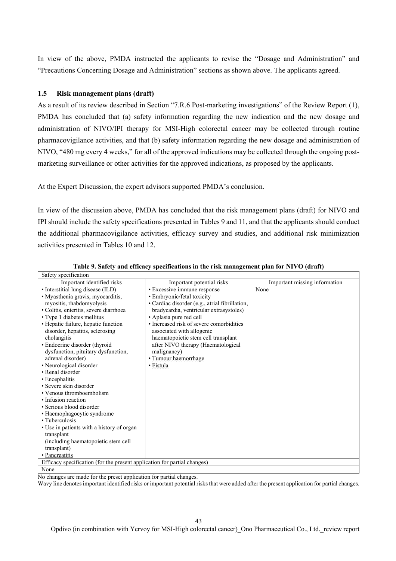In view of the above, PMDA instructed the applicants to revise the "Dosage and Administration" and "Precautions Concerning Dosage and Administration" sections as shown above. The applicants agreed.

### **1.5 Risk management plans (draft)**

As a result of its review described in Section "7.R.6 Post-marketing investigations" of the Review Report (1), PMDA has concluded that (a) safety information regarding the new indication and the new dosage and administration of NIVO/IPI therapy for MSI-High colorectal cancer may be collected through routine pharmacovigilance activities, and that (b) safety information regarding the new dosage and administration of NIVO, "480 mg every 4 weeks," for all of the approved indications may be collected through the ongoing postmarketing surveillance or other activities for the approved indications, as proposed by the applicants.

At the Expert Discussion, the expert advisors supported PMDA's conclusion.

In view of the discussion above, PMDA has concluded that the risk management plans (draft) for NIVO and IPI should include the safety specifications presented in Tables 9 and 11, and that the applicants should conduct the additional pharmacovigilance activities, efficacy survey and studies, and additional risk minimization activities presented in Tables 10 and 12.

| Safety specification                                                     |                                                |                               |  |  |
|--------------------------------------------------------------------------|------------------------------------------------|-------------------------------|--|--|
| Important identified risks                                               | Important potential risks                      | Important missing information |  |  |
| · Interstitial lung disease (ILD)                                        | · Excessive immune response                    | None                          |  |  |
| · Myasthenia gravis, myocarditis,                                        | · Embryonic/fetal toxicity                     |                               |  |  |
| myositis, rhabdomyolysis                                                 | · Cardiac disorder (e.g., atrial fibrillation, |                               |  |  |
| · Colitis, enteritis, severe diarrhoea                                   | bradycardia, ventricular extrasystoles)        |                               |  |  |
| • Type 1 diabetes mellitus                                               | • Aplasia pure red cell                        |                               |  |  |
| • Hepatic failure, hepatic function                                      | • Increased risk of severe comorbidities       |                               |  |  |
| disorder, hepatitis, sclerosing                                          | associated with allogenic                      |                               |  |  |
| cholangitis                                                              | haematopoietic stem cell transplant            |                               |  |  |
| • Endocrine disorder (thyroid                                            | after NIVO therapy (Haematological             |                               |  |  |
| dysfunction, pituitary dysfunction,                                      | malignancy)                                    |                               |  |  |
| adrenal disorder)                                                        | · Tumour haemorrhage                           |                               |  |  |
| • Neurological disorder                                                  | • Fistula                                      |                               |  |  |
| • Renal disorder                                                         |                                                |                               |  |  |
| • Encephalitis                                                           |                                                |                               |  |  |
| • Severe skin disorder                                                   |                                                |                               |  |  |
| • Venous thromboembolism                                                 |                                                |                               |  |  |
| • Infusion reaction                                                      |                                                |                               |  |  |
| • Serious blood disorder                                                 |                                                |                               |  |  |
| · Haemophagocytic syndrome                                               |                                                |                               |  |  |
| • Tuberculosis                                                           |                                                |                               |  |  |
| • Use in patients with a history of organ                                |                                                |                               |  |  |
| transplant                                                               |                                                |                               |  |  |
| (including haematopoietic stem cell)                                     |                                                |                               |  |  |
| transplant)                                                              |                                                |                               |  |  |
| • Pancreatitis                                                           |                                                |                               |  |  |
| Efficacy specification (for the present application for partial changes) |                                                |                               |  |  |
| None                                                                     |                                                |                               |  |  |

### **Table 9. Safety and efficacy specifications in the risk management plan for NIVO (draft)**

No changes are made for the preset application for partial changes.

Wavy line denotes important identified risks or important potential risks that were added after the present application for partial changes.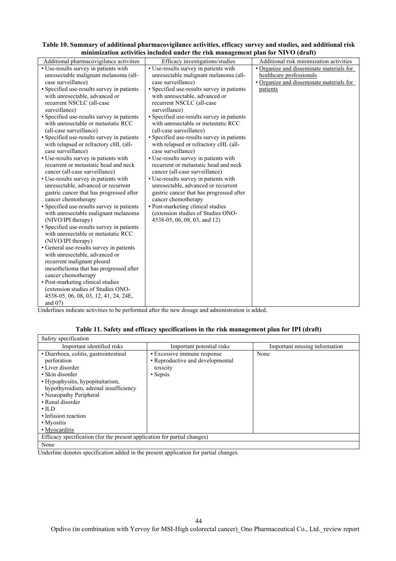| Table 10. Summary of additional pharmacovigilance activities, efficacy survey and studies, and additional risk |  |
|----------------------------------------------------------------------------------------------------------------|--|
| minimization activities included under the risk management plan for NIVO (draft)                               |  |

Underlines indicate activities to be performed after the new dosage and administration is added.

### **Table 11. Safety and efficacy specifications in the risk management plan for IPI (draft)**

| Safety specification                                                     |                                  |                               |  |  |
|--------------------------------------------------------------------------|----------------------------------|-------------------------------|--|--|
| Important identified risks                                               | Important potential risks        | Important missing information |  |  |
| · Diarrhoea, colitis, gastrointestinal                                   | · Excessive immune response      | None                          |  |  |
| perforation                                                              | • Reproductive and developmental |                               |  |  |
| • Liver disorder                                                         | toxicity                         |                               |  |  |
| • Skin disorder                                                          | • Sepsis                         |                               |  |  |
| • Hypophysitis, hypopituitarism,                                         |                                  |                               |  |  |
| hypothyroidism, adrenal insufficiency                                    |                                  |                               |  |  |
| • Neuropathy Peripheral                                                  |                                  |                               |  |  |
| • Renal disorder                                                         |                                  |                               |  |  |
| $\cdot$ ILD                                                              |                                  |                               |  |  |
| • Infusion reaction                                                      |                                  |                               |  |  |
| • Myositis                                                               |                                  |                               |  |  |
| • Myocarditis                                                            |                                  |                               |  |  |
| Efficacy specification (for the present application for partial changes) |                                  |                               |  |  |
| None                                                                     |                                  |                               |  |  |

Underline denotes specification added in the present application for partial changes.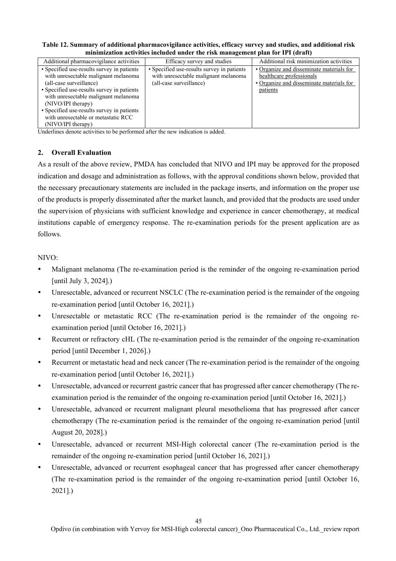| minimization activities included under the risk management plan for IPI (draft)                                                                                                                                                                                                                                                      |                                                                                                               |                                                                                                                              |  |
|--------------------------------------------------------------------------------------------------------------------------------------------------------------------------------------------------------------------------------------------------------------------------------------------------------------------------------------|---------------------------------------------------------------------------------------------------------------|------------------------------------------------------------------------------------------------------------------------------|--|
| Additional pharmacovigilance activities                                                                                                                                                                                                                                                                                              | Efficacy survey and studies                                                                                   | Additional risk minimization activities                                                                                      |  |
| • Specified use-results survey in patients<br>with unresectable malignant melanoma<br>(all-case surveillance)<br>• Specified use-results survey in patients<br>with unresectable malignant melanoma<br>(NIVO/IPI therapy)<br>• Specified use-results survey in patients<br>with unresectable or metastatic RCC<br>(NIVO/IPI therapy) | • Specified use-results survey in patients<br>with unresectable malignant melanoma<br>(all-case surveillance) | • Organize and disseminate materials for<br>healthcare professionals<br>• Organize and disseminate materials for<br>patients |  |

**Table 12. Summary of additional pharmacovigilance activities, efficacy survey and studies, and additional risk minimization activities included under the risk management plan for IPI (draft)** 

Underlines denote activities to be performed after the new indication is added.

## **2. Overall Evaluation**

As a result of the above review, PMDA has concluded that NIVO and IPI may be approved for the proposed indication and dosage and administration as follows, with the approval conditions shown below, provided that the necessary precautionary statements are included in the package inserts, and information on the proper use of the products is properly disseminated after the market launch, and provided that the products are used under the supervision of physicians with sufficient knowledge and experience in cancer chemotherapy, at medical institutions capable of emergency response. The re-examination periods for the present application are as follows.

### NIVO:

- Malignant melanoma (The re-examination period is the reminder of the ongoing re-examination period [until July 3, 2024].)
- Unresectable, advanced or recurrent NSCLC (The re-examination period is the remainder of the ongoing re-examination period [until October 16, 2021].)
- Unresectable or metastatic RCC (The re-examination period is the remainder of the ongoing reexamination period [until October 16, 2021].)
- Recurrent or refractory cHL (The re-examination period is the remainder of the ongoing re-examination period [until December 1, 2026].)
- Recurrent or metastatic head and neck cancer (The re-examination period is the remainder of the ongoing re-examination period [until October 16, 2021].)
- Unresectable, advanced or recurrent gastric cancer that has progressed after cancer chemotherapy (The reexamination period is the remainder of the ongoing re-examination period [until October 16, 2021].)
- Unresectable, advanced or recurrent malignant pleural mesothelioma that has progressed after cancer chemotherapy (The re-examination period is the remainder of the ongoing re-examination period [until August 20, 2028].)
- Unresectable, advanced or recurrent MSI-High colorectal cancer (The re-examination period is the remainder of the ongoing re-examination period [until October 16, 2021].)
- Unresectable, advanced or recurrent esophageal cancer that has progressed after cancer chemotherapy (The re-examination period is the remainder of the ongoing re-examination period [until October 16, 2021].)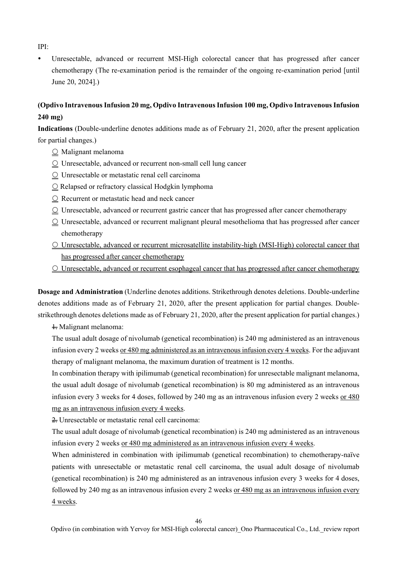IPI:

 Unresectable, advanced or recurrent MSI-High colorectal cancer that has progressed after cancer chemotherapy (The re-examination period is the remainder of the ongoing re-examination period [until June 20, 2024].)

# **(Opdivo Intravenous Infusion 20 mg, Opdivo Intravenous Infusion 100 mg, Opdivo Intravenous Infusion 240 mg)**

**Indications** (Double-underline denotes additions made as of February 21, 2020, after the present application for partial changes.)

- $\circlearrowright$  Malignant melanoma
- $\Omega$  Unresectable, advanced or recurrent non-small cell lung cancer
- $\circlearrowright$  Unresectable or metastatic renal cell carcinoma
- $\circ$  Relapsed or refractory classical Hodgkin lymphoma
- O Recurrent or metastatic head and neck cancer
- $\Omega$  Unresectable, advanced or recurrent gastric cancer that has progressed after cancer chemotherapy
- $\Omega$  Unresectable, advanced or recurrent malignant pleural mesothelioma that has progressed after cancer chemotherapy
- Unresectable, advanced or recurrent microsatellite instability-high (MSI-High) colorectal cancer that has progressed after cancer chemotherapy
- Unresectable, advanced or recurrent esophageal cancer that has progressed after cancer chemotherapy

**Dosage and Administration** (Underline denotes additions. Strikethrough denotes deletions. Double-underline denotes additions made as of February 21, 2020, after the present application for partial changes. Doublestrikethrough denotes deletions made as of February 21, 2020, after the present application for partial changes.)

 $\pm$  Malignant melanoma:

The usual adult dosage of nivolumab (genetical recombination) is 240 mg administered as an intravenous infusion every 2 weeks or 480 mg administered as an intravenous infusion every 4 weeks. For the adjuvant therapy of malignant melanoma, the maximum duration of treatment is 12 months.

In combination therapy with ipilimumab (genetical recombination) for unresectable malignant melanoma, the usual adult dosage of nivolumab (genetical recombination) is 80 mg administered as an intravenous infusion every 3 weeks for 4 doses, followed by 240 mg as an intravenous infusion every 2 weeks or 480 mg as an intravenous infusion every 4 weeks.

 $\triangle$  Unresectable or metastatic renal cell carcinoma:

The usual adult dosage of nivolumab (genetical recombination) is 240 mg administered as an intravenous infusion every 2 weeks or 480 mg administered as an intravenous infusion every 4 weeks.

When administered in combination with ipilimumab (genetical recombination) to chemotherapy-naïve patients with unresectable or metastatic renal cell carcinoma, the usual adult dosage of nivolumab (genetical recombination) is 240 mg administered as an intravenous infusion every 3 weeks for 4 doses, followed by 240 mg as an intravenous infusion every 2 weeks or 480 mg as an intravenous infusion every 4 weeks.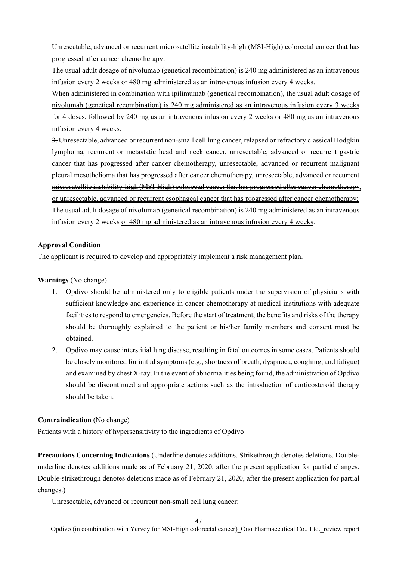Unresectable, advanced or recurrent microsatellite instability-high (MSI-High) colorectal cancer that has progressed after cancer chemotherapy:

The usual adult dosage of nivolumab (genetical recombination) is 240 mg administered as an intravenous infusion every 2 weeks or 480 mg administered as an intravenous infusion every 4 weeks.

When administered in combination with ipilimumab (genetical recombination), the usual adult dosage of nivolumab (genetical recombination) is 240 mg administered as an intravenous infusion every 3 weeks for 4 doses, followed by 240 mg as an intravenous infusion every 2 weeks or 480 mg as an intravenous infusion every 4 weeks.

 $\frac{3}{2}$ . Unresectable, advanced or recurrent non-small cell lung cancer, relapsed or refractory classical Hodgkin lymphoma, recurrent or metastatic head and neck cancer, unresectable, advanced or recurrent gastric cancer that has progressed after cancer chemotherapy, unresectable, advanced or recurrent malignant pleural mesothelioma that has progressed after cancer chemotherapy, unresectable, advanced or recurrent microsatellite instability-high (MSI-High) colorectal cancer that has progressed after cancer chemotherapy, or unresectable, advanced or recurrent esophageal cancer that has progressed after cancer chemotherapy: The usual adult dosage of nivolumab (genetical recombination) is 240 mg administered as an intravenous infusion every 2 weeks or 480 mg administered as an intravenous infusion every 4 weeks.

### **Approval Condition**

The applicant is required to develop and appropriately implement a risk management plan.

### **Warnings** (No change)

- 1. Opdivo should be administered only to eligible patients under the supervision of physicians with sufficient knowledge and experience in cancer chemotherapy at medical institutions with adequate facilities to respond to emergencies. Before the start of treatment, the benefits and risks of the therapy should be thoroughly explained to the patient or his/her family members and consent must be obtained.
- 2. Opdivo may cause interstitial lung disease, resulting in fatal outcomes in some cases. Patients should be closely monitored for initial symptoms (e.g., shortness of breath, dyspnoea, coughing, and fatigue) and examined by chest X-ray. In the event of abnormalities being found, the administration of Opdivo should be discontinued and appropriate actions such as the introduction of corticosteroid therapy should be taken.

## **Contraindication** (No change)

Patients with a history of hypersensitivity to the ingredients of Opdivo

**Precautions Concerning Indications** (Underline denotes additions. Strikethrough denotes deletions. Doubleunderline denotes additions made as of February 21, 2020, after the present application for partial changes. Double-strikethrough denotes deletions made as of February 21, 2020, after the present application for partial changes.)

Unresectable, advanced or recurrent non-small cell lung cancer: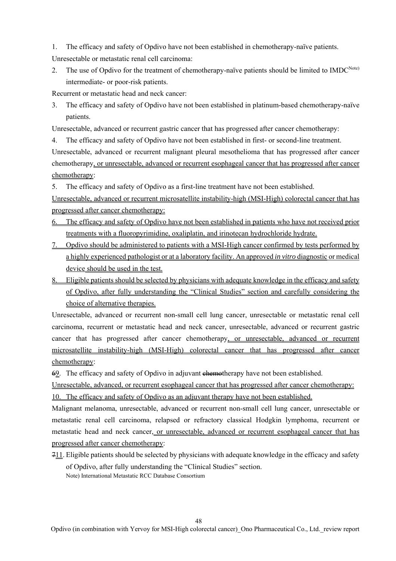1. The efficacy and safety of Opdivo have not been established in chemotherapy-naïve patients.

Unresectable or metastatic renal cell carcinoma:

2. The use of Opdivo for the treatment of chemotherapy-naïve patients should be limited to IMDC<sup>Note)</sup> intermediate- or poor-risk patients.

Recurrent or metastatic head and neck cancer:

3. The efficacy and safety of Opdivo have not been established in platinum-based chemotherapy-naïve patients.

Unresectable, advanced or recurrent gastric cancer that has progressed after cancer chemotherapy:

4. The efficacy and safety of Opdivo have not been established in first- or second-line treatment.

Unresectable, advanced or recurrent malignant pleural mesothelioma that has progressed after cancer chemotherapy, or unresectable, advanced or recurrent esophageal cancer that has progressed after cancer chemotherapy:

5. The efficacy and safety of Opdivo as a first-line treatment have not been established.

Unresectable, advanced or recurrent microsatellite instability-high (MSI-High) colorectal cancer that has progressed after cancer chemotherapy:

- 6. The efficacy and safety of Opdivo have not been established in patients who have not received prior treatments with a fluoropyrimidine, oxaliplatin, and irinotecan hydrochloride hydrate.
- 7. Opdivo should be administered to patients with a MSI-High cancer confirmed by tests performed by a highly experienced pathologist or at a laboratory facility. An approved *in vitro* diagnostic or medical device should be used in the test.
- 8. Eligible patients should be selected by physicians with adequate knowledge in the efficacy and safety of Opdivo, after fully understanding the "Clinical Studies" section and carefully considering the choice of alternative therapies.

Unresectable, advanced or recurrent non-small cell lung cancer, unresectable or metastatic renal cell carcinoma, recurrent or metastatic head and neck cancer, unresectable, advanced or recurrent gastric cancer that has progressed after cancer chemotherapy, or unresectable, advanced or recurrent microsatellite instability-high (MSI-High) colorectal cancer that has progressed after cancer chemotherapy:

69. The efficacy and safety of Opdivo in adjuvant enterproduced have not been established.

Unresectable, advanced, or recurrent esophageal cancer that has progressed after cancer chemotherapy: 10. The efficacy and safety of Opdivo as an adjuvant therapy have not been established.

Malignant melanoma, unresectable, advanced or recurrent non-small cell lung cancer, unresectable or metastatic renal cell carcinoma, relapsed or refractory classical Hodgkin lymphoma, recurrent or metastatic head and neck cancer, or unresectable, advanced or recurrent esophageal cancer that has progressed after cancer chemotherapy:

 $711$ . Eligible patients should be selected by physicians with adequate knowledge in the efficacy and safety of Opdivo, after fully understanding the "Clinical Studies" section. Note) International Metastatic RCC Database Consortium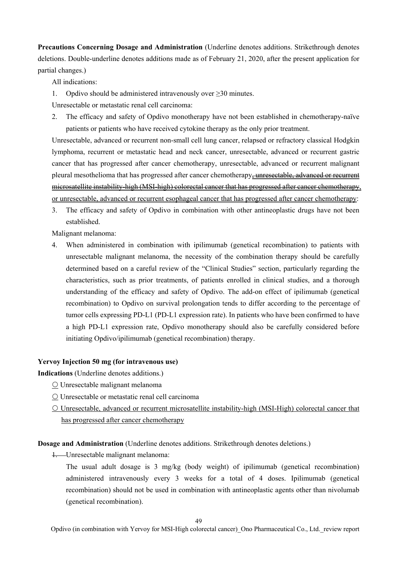**Precautions Concerning Dosage and Administration** (Underline denotes additions. Strikethrough denotes deletions. Double-underline denotes additions made as of February 21, 2020, after the present application for partial changes.)

All indications:

1. Opdivo should be administered intravenously over  $\geq$ 30 minutes.

Unresectable or metastatic renal cell carcinoma:

2. The efficacy and safety of Opdivo monotherapy have not been established in chemotherapy-naïve patients or patients who have received cytokine therapy as the only prior treatment.

Unresectable, advanced or recurrent non-small cell lung cancer, relapsed or refractory classical Hodgkin lymphoma, recurrent or metastatic head and neck cancer, unresectable, advanced or recurrent gastric cancer that has progressed after cancer chemotherapy, unresectable, advanced or recurrent malignant pleural mesothelioma that has progressed after cancer chemotherapy, unresectable, advanced or recurrent microsatellite instability-high (MSI-high) colorectal cancer that has progressed after cancer chemotherapy, or unresectable, advanced or recurrent esophageal cancer that has progressed after cancer chemotherapy:

3. The efficacy and safety of Opdivo in combination with other antineoplastic drugs have not been established.

Malignant melanoma:

When administered in combination with ipilimumab (genetical recombination) to patients with unresectable malignant melanoma, the necessity of the combination therapy should be carefully determined based on a careful review of the "Clinical Studies" section, particularly regarding the characteristics, such as prior treatments, of patients enrolled in clinical studies, and a thorough understanding of the efficacy and safety of Opdivo. The add-on effect of ipilimumab (genetical recombination) to Opdivo on survival prolongation tends to differ according to the percentage of tumor cells expressing PD-L1 (PD-L1 expression rate). In patients who have been confirmed to have a high PD-L1 expression rate, Opdivo monotherapy should also be carefully considered before initiating Opdivo/ipilimumab (genetical recombination) therapy.

### **Yervoy Injection 50 mg (for intravenous use)**

**Indications** (Underline denotes additions.)

- Unresectable malignant melanoma
- Unresectable or metastatic renal cell carcinoma
- Unresectable, advanced or recurrent microsatellite instability-high (MSI-High) colorectal cancer that has progressed after cancer chemotherapy

**Dosage and Administration** (Underline denotes additions. Strikethrough denotes deletions.)

1. Unresectable malignant melanoma:

The usual adult dosage is 3 mg/kg (body weight) of ipilimumab (genetical recombination) administered intravenously every 3 weeks for a total of 4 doses. Ipilimumab (genetical recombination) should not be used in combination with antineoplastic agents other than nivolumab (genetical recombination).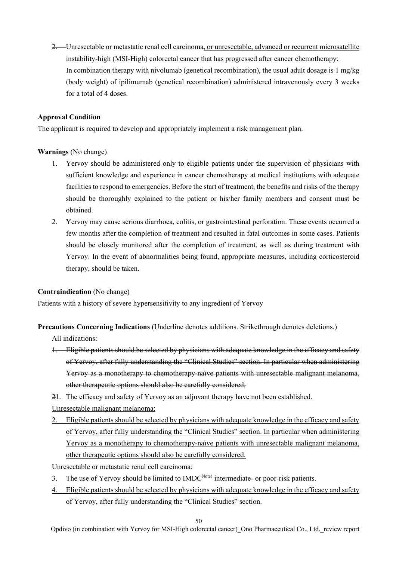2. Unresectable or metastatic renal cell carcinoma, or unresectable, advanced or recurrent microsatellite instability-high (MSI-High) colorectal cancer that has progressed after cancer chemotherapy: In combination therapy with nivolumab (genetical recombination), the usual adult dosage is 1 mg/kg (body weight) of ipilimumab (genetical recombination) administered intravenously every 3 weeks for a total of 4 doses.

### **Approval Condition**

The applicant is required to develop and appropriately implement a risk management plan.

## **Warnings** (No change)

- 1. Yervoy should be administered only to eligible patients under the supervision of physicians with sufficient knowledge and experience in cancer chemotherapy at medical institutions with adequate facilities to respond to emergencies. Before the start of treatment, the benefits and risks of the therapy should be thoroughly explained to the patient or his/her family members and consent must be obtained.
- 2. Yervoy may cause serious diarrhoea, colitis, or gastrointestinal perforation. These events occurred a few months after the completion of treatment and resulted in fatal outcomes in some cases. Patients should be closely monitored after the completion of treatment, as well as during treatment with Yervoy. In the event of abnormalities being found, appropriate measures, including corticosteroid therapy, should be taken.

### **Contraindication** (No change)

Patients with a history of severe hypersensitivity to any ingredient of Yervoy

**Precautions Concerning Indications** (Underline denotes additions. Strikethrough denotes deletions.)

All indications:

- 1. Eligible patients should be selected by physicians with adequate knowledge in the efficacy and safety of Yervoy, after fully understanding the "Clinical Studies" section. In particular when administering Yervoy as a monotherapy to chemotherapy-naïve patients with unresectable malignant melanoma, other therapeutic options should also be carefully considered.
- 21. The efficacy and safety of Yervoy as an adjuvant therapy have not been established.

Unresectable malignant melanoma:

- 2. Eligible patients should be selected by physicians with adequate knowledge in the efficacy and safety of Yervoy, after fully understanding the "Clinical Studies" section. In particular when administering Yervoy as a monotherapy to chemotherapy-naïve patients with unresectable malignant melanoma, other therapeutic options should also be carefully considered.
- Unresectable or metastatic renal cell carcinoma:
- 3. The use of Yervoy should be limited to  $IMDC<sup>Note</sup>$  intermediate- or poor-risk patients.
- 4. Eligible patients should be selected by physicians with adequate knowledge in the efficacy and safety of Yervoy, after fully understanding the "Clinical Studies" section.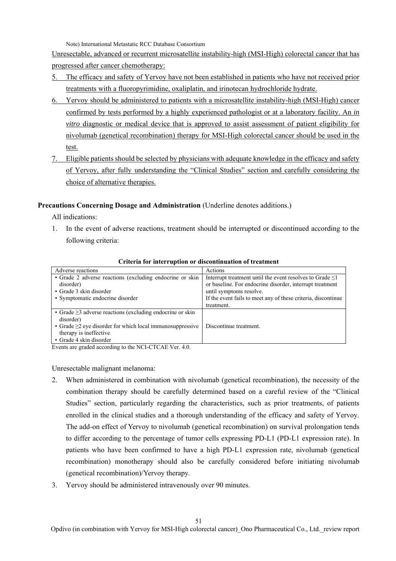Note) International Metastatic RCC Database Consortium

Unresectable, advanced or recurrent microsatellite instability-high (MSI-High) colorectal cancer that has progressed after cancer chemotherapy:

- 5. The efficacy and safety of Yervoy have not been established in patients who have not received prior treatments with a fluoropyrimidine, oxaliplatin, and irinotecan hydrochloride hydrate.
- 6. Yervoy should be administered to patients with a microsatellite instability-high (MSI-High) cancer confirmed by tests performed by a highly experienced pathologist or at a laboratory facility. An *in vitro* diagnostic or medical device that is approved to assist assessment of patient eligibility for nivolumab (genetical recombination) therapy for MSI-High colorectal cancer should be used in the test.
- 7. Eligible patients should be selected by physicians with adequate knowledge in the efficacy and safety of Yervoy, after fully understanding the "Clinical Studies" section and carefully considering the choice of alternative therapies.

## **Precautions Concerning Dosage and Administration** (Underline denotes additions.)

All indications:

1. In the event of adverse reactions, treatment should be interrupted or discontinued according to the following criteria:

| Adverse reactions                                               | Actions                                                        |
|-----------------------------------------------------------------|----------------------------------------------------------------|
| • Grade 2 adverse reactions (excluding endocrine or skin        | Interrupt treatment until the event resolves to Grade $\leq 1$ |
| disorder)                                                       | or baseline. For endocrine disorder, interrupt treatment       |
| • Grade 3 skin disorder                                         | until symptoms resolve.                                        |
| • Symptomatic endocrine disorder                                | If the event fails to meet any of these criteria, discontinue  |
|                                                                 | treatment.                                                     |
| • Grade $\geq$ 3 adverse reactions (excluding endocrine or skin |                                                                |
| disorder)                                                       |                                                                |
| • Grade $\geq$ 2 eye disorder for which local immunosuppressive | Discontinue treatment.                                         |
| therapy is ineffective                                          |                                                                |
| • Grade 4 skin disorder                                         |                                                                |

#### **Criteria for interruption or discontinuation of treatment**

Events are graded according to the NCI-CTCAE Ver. 4.0.

Unresectable malignant melanoma:

- 2. When administered in combination with nivolumab (genetical recombination), the necessity of the combination therapy should be carefully determined based on a careful review of the "Clinical Studies" section, particularly regarding the characteristics, such as prior treatments, of patients enrolled in the clinical studies and a thorough understanding of the efficacy and safety of Yervoy. The add-on effect of Yervoy to nivolumab (genetical recombination) on survival prolongation tends to differ according to the percentage of tumor cells expressing PD-L1 (PD-L1 expression rate). In patients who have been confirmed to have a high PD-L1 expression rate, nivolumab (genetical recombination) monotherapy should also be carefully considered before initiating nivolumab (genetical recombination)/Yervoy therapy.
- 3. Yervoy should be administered intravenously over 90 minutes.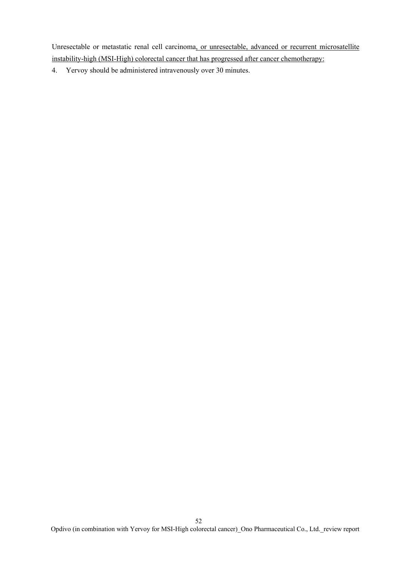Unresectable or metastatic renal cell carcinoma, or unresectable, advanced or recurrent microsatellite instability-high (MSI-High) colorectal cancer that has progressed after cancer chemotherapy:

4. Yervoy should be administered intravenously over 30 minutes.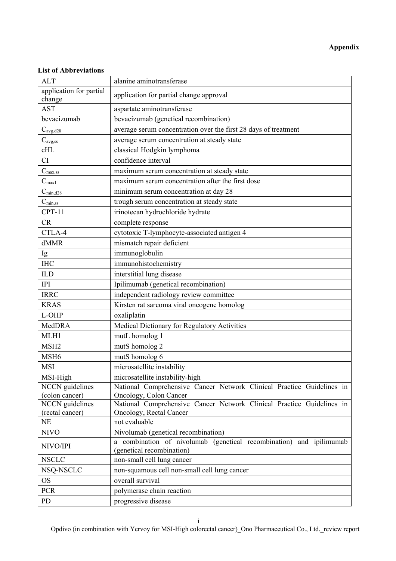# **Appendix**

## **List of Abbreviations**

| <b>ALT</b>                        | alanine aminotransferase                                                                         |
|-----------------------------------|--------------------------------------------------------------------------------------------------|
| application for partial<br>change | application for partial change approval                                                          |
| <b>AST</b>                        | aspartate aminotransferase                                                                       |
| bevacizumab                       | bevacizumab (genetical recombination)                                                            |
| $C_{\text{avg},\text{d28}}$       | average serum concentration over the first 28 days of treatment                                  |
| $C_{\rm avg, ss}$                 | average serum concentration at steady state                                                      |
| cHL                               | classical Hodgkin lymphoma                                                                       |
| CI                                | confidence interval                                                                              |
| $C_{\text{max,ss}}$               | maximum serum concentration at steady state                                                      |
| C <sub>max1</sub>                 | maximum serum concentration after the first dose                                                 |
| $C_{\rm min, d28}$                | minimum serum concentration at day 28                                                            |
| $C_{\text{min,ss}}$               | trough serum concentration at steady state                                                       |
| $CPT-11$                          | irinotecan hydrochloride hydrate                                                                 |
| CR                                | complete response                                                                                |
| CTLA-4                            | cytotoxic T-lymphocyte-associated antigen 4                                                      |
| dMMR                              | mismatch repair deficient                                                                        |
| Ig                                | immunoglobulin                                                                                   |
| <b>IHC</b>                        | immunohistochemistry                                                                             |
| <b>ILD</b>                        | interstitial lung disease                                                                        |
| <b>IPI</b>                        | Ipilimumab (genetical recombination)                                                             |
| <b>IRRC</b>                       | independent radiology review committee                                                           |
| <b>KRAS</b>                       | Kirsten rat sarcoma viral oncogene homolog                                                       |
| L-OHP                             | oxaliplatin                                                                                      |
| MedDRA                            | Medical Dictionary for Regulatory Activities                                                     |
| MLH1                              | mutL homolog 1                                                                                   |
| MSH <sub>2</sub>                  | mutS homolog 2                                                                                   |
| MSH <sub>6</sub>                  | mutS homolog 6                                                                                   |
| <b>MSI</b>                        | microsatellite instability                                                                       |
| MSI-High                          | microsatellite instability-high                                                                  |
| NCCN guidelines                   | National Comprehensive Cancer Network Clinical Practice Guidelines in                            |
| (colon cancer)                    | Oncology, Colon Cancer                                                                           |
| <b>NCCN</b> guidelines            | National Comprehensive Cancer Network Clinical Practice Guidelines in                            |
| (rectal cancer)                   | Oncology, Rectal Cancer                                                                          |
| $\rm NE$                          | not evaluable                                                                                    |
| <b>NIVO</b>                       | Nivolumab (genetical recombination)                                                              |
| NIVO/IPI                          | a combination of nivolumab (genetical recombination) and ipilimumab<br>(genetical recombination) |
| <b>NSCLC</b>                      | non-small cell lung cancer                                                                       |
| NSQ-NSCLC                         | non-squamous cell non-small cell lung cancer                                                     |
| <b>OS</b>                         | overall survival                                                                                 |
| <b>PCR</b>                        | polymerase chain reaction                                                                        |
| PD                                | progressive disease                                                                              |

Opdivo (in combination with Yervoy for MSI-High colorectal cancer)\_Ono Pharmaceutical Co., Ltd.\_review report